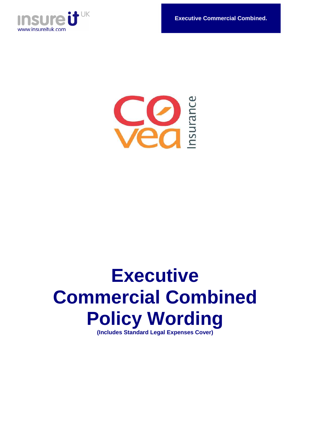



# **Executive Commercial Combined Policy Wording (Includes Standard Legal Expenses Cover)**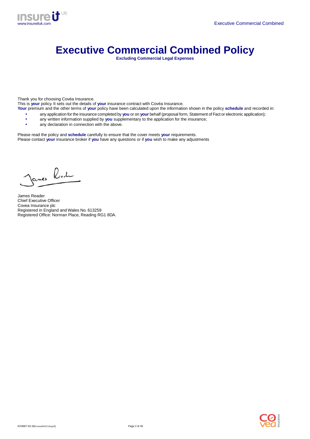

# **Executive Commercial Combined Policy**

**Excluding Commercial Legal Expenses** 

Thank you for choosing Covéa Insurance.

This is **your** policy. It sets out the details of **your** insurance contract with Covéa Insurance.

- **Your** premium and the other terms of **your** policy have been calculated upon the information shown in the policy **schedule** and recorded in:
	- any application for the insurance completed by you or on your behalf (proposal form, Statement of Fact or electronic application);
	- any written information supplied by **you** supplementary to the application for the insurance;<br>• any declaration in connection with the above.
	- any declaration in connection with the above.

Please read the policy and **schedule** carefully to ensure that the cover meets **your** requirements. Please contact **your** insurance broker if **you** have any questions or if **you** wish to make any adjustments

Janes Road

James Reader Chief Executive Officer Covea Insurance plc Registered in England and Wales No. 613259 Registered Office: Norman Place, Reading RG1 8DA.

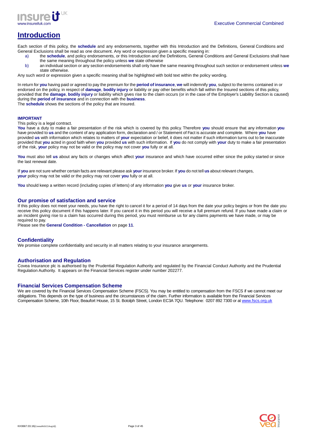

# **Introduction**

Each section of this policy, the **schedule** and any endorsements, together with this Introduction and the Definitions, General Conditions and General Exclusions shall be read as one document. Any word or expression given a specific meaning in:

- a) the **schedule**, and policy endorsements, or this Introduction and the Definitions, General Conditions and General Exclusions shall have the same meaning throughout the policy unless **we** state otherwise
- b) an individual section or any section endorsements shall only have the same meaning throughout such section or endorsement unless **we**  state otherwise.

Any such word or expression given a specific meaning shall be highlighted with bold text within the policy wording.

In return for **you** having paid or agreed to pay the premium for the **period of insurance**, **we** will indemnify **you**, subject to the terms contained in or endorsed on the policy, in respect of **damage**, **bodily injury** or liability or pay other benefits which fall within the Insured sections of this policy, provided that the **damage**, **bodily injury** or liability which gives rise to the claim occurs (or in the case of the Employer's Liability Section is caused) during the **period of insurance** and in connection with the **business**.

The **schedule** shows the sections of the policy that are Insured.

#### **IMPORTANT**

This policy is a legal contract.

**You** have a duty to make a fair presentation of the risk which is covered by this policy. Therefore **you** should ensure that any information **you** have provided to **us** and the content of any application form, declaration and / or Statement of Fact is accurate and complete. Where **you** have provided **us** with information which relates to matters of **your** expectation or belief, it does not matter if such information turns out to be inaccurate provided that **you** acted in good faith when **you** provided **us** with such information. If **you** do not comply with **your** duty to make a fair presentation of the risk, **your** policy may not be valid or the policy may not cover **you** fully or at all.

**You** must also tell **us** about any facts or changes which affect **your** insurance and which have occurred either since the policy started or since the last renewal date.

If **you** are not sure whether certain facts are relevant please ask **your** insurance broker. If **you** do not tell **us** about relevant changes, **your** policy may not be valid or the policy may not cover **you** fully or at all.

**You** should keep a written record (including copies of letters) of any information **you** give **us** or **your** insurance broker.

#### **Our promise of satisfaction and service**

If this policy does not meet your needs, you have the right to cancel it for a period of 14 days from the date your policy begins or from the date you receive this policy document if this happens later. If you cancel it in this period you will receive a full premium refund. If you have made a claim or an incident giving rise to a claim has occurred during this period, you must reimburse us for any claims payments we have made, or may be required to pay.

Please see the **General Condition - Cancellation** on page **11**.

#### **Confidentiality**

We promise complete confidentiality and security in all matters relating to your insurance arrangements.

#### **Authorisation and Regulation**

Covea Insurance plc is authorised by the Prudential Regulation Authority and regulated by the Financial Conduct Authority and the Prudential Regulation Authority. It appears on the Financial Services register under number 202277.

#### **Financial Services Compensation Scheme**

We are covered by the Financial Services Compensation Scheme (FSCS). You may be entitled to compensation from the FSCS if we cannot meet our obligations. This depends on the type of business and the circumstances of the claim. Further information is available from the Financial Services Compensation Scheme, 10th Floor, Beaufort House, 15 St. Botolph Street, London EC3A 7QU. Telephone: 0207 892 7300 or at www.fscs.org.uk

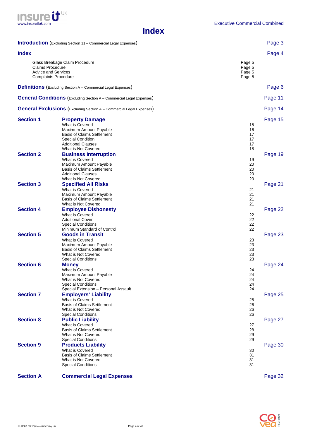

# **Index**

|                         | <b>Introduction</b> (Excluding Section 11 - Commercial Legal Expenses)                                                                                                                   |                                      | Page 3  |
|-------------------------|------------------------------------------------------------------------------------------------------------------------------------------------------------------------------------------|--------------------------------------|---------|
| <b>Index</b>            |                                                                                                                                                                                          |                                      | Page 4  |
| <b>Claims Procedure</b> | Glass Breakage Claim Procedure<br><b>Advice and Services</b><br><b>Complaints Procedure</b>                                                                                              | Page 5<br>Page 5<br>Page 5<br>Page 5 |         |
|                         | <b>Definitions</b> (Excluding Section A - Commercial Legal Expenses)                                                                                                                     |                                      | Page 6  |
|                         | <b>General Conditions</b> (Excluding Section A - Commercial Legal Expenses)                                                                                                              |                                      | Page 11 |
|                         | <b>General Exclusions</b> (Excluding Section A - Commercial Legal Expenses)                                                                                                              |                                      | Page 14 |
| <b>Section 1</b>        | <b>Property Damage</b><br>What is Covered<br>Maximum Amount Payable<br><b>Basis of Claims Settlement</b><br><b>Special Condition</b><br><b>Additional Clauses</b><br>What is Not Covered | 15<br>16<br>17<br>17<br>17<br>18     | Page 15 |
| <b>Section 2</b>        | <b>Business Interruption</b><br>What is Covered<br>Maximum Amount Payable<br><b>Basis of Claims Settlement</b><br><b>Additional Clauses</b><br>What is Not Covered                       | 19<br>20<br>20<br>20<br>20           | Page 19 |
| <b>Section 3</b>        | <b>Specified All Risks</b><br>What is Covered<br>Maximum Amount Payable<br><b>Basis of Claims Settlement</b><br>What is Not Covered                                                      | 21<br>21<br>21<br>21                 | Page 21 |
| <b>Section 4</b>        | <b>Employee Dishonesty</b><br>What is Covered<br><b>Additional Cover</b><br><b>Special Conditions</b><br>Minimum Standard of Control                                                     | 22<br>22<br>22<br>22                 | Page 22 |
| <b>Section 5</b>        | <b>Goods in Transit</b><br>What is Covered<br>Maximum Amount Payable<br><b>Basis of Claims Settlement</b><br>What is Not Covered<br><b>Special Conditions</b>                            | 23<br>23<br>23<br>23<br>23           | Page 23 |
| <b>Section 6</b>        | <b>Money</b><br>What is Covered<br>Maximum Amount Payable<br>What is Not Covered<br><b>Special Conditions</b><br>Special Extension - Personal Assault                                    | 24<br>24<br>24<br>24<br>24           | Page 24 |
| <b>Section 7</b>        | <b>Employers' Liability</b><br>What is Covered<br><b>Basis of Claims Settlement</b><br>What is Not Covered<br><b>Special Conditions</b>                                                  | 25<br>26<br>26<br>26                 | Page 25 |
| <b>Section 8</b>        | <b>Public Liability</b><br>What is Covered<br><b>Basis of Claims Settlement</b><br>What is Not Covered<br><b>Special Conditions</b>                                                      | 27<br>28<br>29<br>29                 | Page 27 |
| <b>Section 9</b>        | <b>Products Liability</b><br>What is Covered<br><b>Basis of Claims Settlement</b><br>What is Not Covered<br><b>Special Conditions</b>                                                    | 30<br>31<br>31<br>31                 | Page 30 |
| <b>Section A</b>        | <b>Commercial Legal Expenses</b>                                                                                                                                                         |                                      | Page 32 |

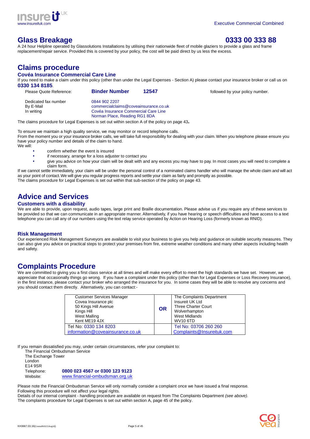

# **Glass Breakage 0333 00 333 88**

A 24 hour Helpline operated by Glassolutions Installations by utilising their nationwide fleet of mobile glaziers to provide a glass and frame replacement/repair service. Provided this is covered by your policy, the cost will be paid direct by us less the excess.

# **Claims procedure**

### **Covéa Insurance Commercial Care Line**

If you need to make a claim under this policy (other than under the Legal Expenses - Section A) please contact your insurance broker or call us on **0330 134 8185**.

| Please Quote Reference: | <b>Binder Number</b><br>12547         | followed by your policy number. |
|-------------------------|---------------------------------------|---------------------------------|
| Dedicated fax number    | 0844 902 2207                         |                                 |
| By E-Mail               | commercialclaims@coveainsurance.co.uk |                                 |
| In writing              | Covéa Insurance Commercial Care Line  |                                 |
|                         | Norman Place, Reading RG1 8DA         |                                 |

The claims procedure for Legal Expenses is set out within section A of the policy on page 43**.**

To ensure we maintain a high quality service, we may monitor or record telephone calls.

From the moment you or your insurance broker calls, we will take full responsibility for dealing with your claim. When you telephone please ensure you have your policy number and details of the claim to hand. We will:

- confirm whether the event is insured
- if necessary, arrange for a loss adjuster to contact you
- give you advice on how your claim will be dealt with and any excess you may have to pay. In most cases you will need to complete a claim form.

If we cannot settle immediately, your claim will be under the personal control of a nominated claims handler who will manage the whole claim and will act as your point of contact. We will give you regular progress reports and settle your claim as fairly and promptly as possible. The claims procedure for Legal Expenses is set out within that sub-section of the policy on page 43.

# **Advice and Services**

# **Customers with a disability**

We are able to provide, upon request, audio tapes, large print and Braille documentation. Please advise us if you require any of these services to be provided so that we can communicate in an appropriate manner. Alternatively, if you have hearing or speech difficulties and have access to a text telephone you can call any of our numbers using the text relay service operated by Action on Hearing Loss (formerly known as RNID).

# **Risk Management**

Our experienced Risk Management Surveyors are available to visit your business to give you help and guidance on suitable security measures. They can also give you advice on practical steps to protect your premises from fire, extreme weather conditions and many other aspects including health and safety.

# **Complaints Procedure**

We are committed to giving you a first class service at all times and will make every effort to meet the high standards we have set. However, we appreciate that occasionally things go wrong. If you have a complaint under this policy (other than for Legal Expenses or Loss Recovery Insurance), in the first instance, please contact your broker who arranged the insurance for you. In some cases they will be able to resolve any concerns and you should contact them directly. Alternatively, you can contact:-

| <b>Customer Services Manager</b><br>Covea Insurance plc<br>50 Kings Hill Avenue<br>Kings Hill<br><b>West Malling</b><br>Kent ME19 4JX | <b>OR</b> | The Complaints Department<br>Insureit UK Ltd<br><b>Three Charter Court</b><br>Wolverhampton<br><b>West Midlands</b><br><b>WV10 6TD</b> |
|---------------------------------------------------------------------------------------------------------------------------------------|-----------|----------------------------------------------------------------------------------------------------------------------------------------|
| Tel No: 0330 134 8203                                                                                                                 |           | Tel No: 03706 260 260                                                                                                                  |
| information@coveainsurance.co.uk                                                                                                      |           | Complaints@Insureituk.com                                                                                                              |

If you remain dissatisfied you may, under certain circumstances, refer your complaint to:

The Financial Ombudsman Service The Exchange Tower London E14 9SR Telephone: **0800 023 4567 or 0300 123 9123**

Website: www.financial-ombudsman.org.uk

Please note the Financial Ombudsman Service will only normally consider a complaint once we have issued a final response. Following this procedure will not affect your legal rights.

Details of our internal complaint - handling procedure are available on request from The Complaints Department (see above). The complaints procedure for Legal Expenses is set out within section A, page 45 of the policy.

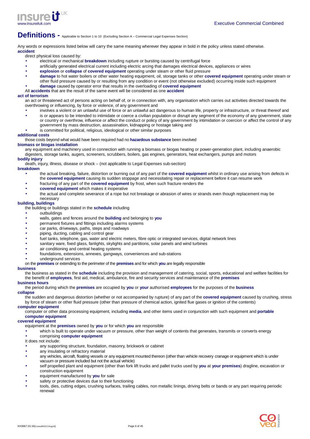

# Definitions - Applicable to Section 1 to 10 (Excluding Section A – Commercial Legal Expenses Section)

Any words or expressions listed below will carry the same meaning wherever they appear in bold in the policy unless stated otherwise. **accident** 

direct physical loss caused by:

- electrical or mechanical **breakdown** including rupture or bursting caused by centrifugal force
- artificially generated electrical current including electric arcing that damages electrical devices, appliances or wires
- **explosion** or **collapse** of **covered equipment** operating under steam or other fluid pressure
- **damage** to hot water boilers or other water heating equipment, oil, storage tanks or other **covered equipment** operating under steam or other fluid pressure caused by or resulting from any condition or event (not otherwise excluded) occurring inside such equipment
- **damage** caused by operator error that results in the overloading of **covered equipment**
- All **accidents** that are the result of the same event will be considered as one **accident**

#### **act of terrorism**

an act or threatened act of persons acting on behalf of, or in connection with, any organisation which carries out activities directed towards the overthrowing or influencing, by force or violence, of any government and

- involves a violent or an unlawful use of force or an unlawful act dangerous to human life, property or infrastructure, or threat thereof and
- is or appears to be intended to intimidate or coerce a civilian population or disrupt any segment of the economy of any government, state or country or overthrow, influence or affect the conduct or policy of any government by intimidation or coercion or affect the control of any government by mass destruction, assassination, kidnapping or hostage taking and
- is committed for political, religious, ideological or other similar purposes

#### **additional costs**

those costs beyond what would have been required had no **hazardous substance** been involved

# **biomass or biogas installation**

any equipment and machinery used in connection with running a biomass or biogas heating or power-generation plant, including anaerobic digesters, storage tanks, augers, screeners, scrubbers, boilers, gas engines, generators, heat exchangers, pumps and motors

#### **bodily injury**

death, injury, illness, disease or shock – (not applicable to Legal Expenses sub-section)

#### **breakdown**

- the actual breaking, failure, distortion or burning out of any part of the **covered equipment** whilst in ordinary use arising from defects in the **covered equipment** causing its sudden stoppage and necessitating repair or replacement before it can resume work
- fracturing of any part of the **covered equipment** by frost, when such fracture renders the
- **covered equipment** which makes it inoperative
- the actual and complete severance of a rope but not breakage or abrasion of wires or strands even though replacement may be necessary

# **building, buildings**

the building or buildings stated in the **schedule** including

- outbuildings
- walls, gates and fences around the **building** and belonging to **you**
- permanent fixtures and fittings including alarms systems
- car parks, driveways, paths, steps and roadways
- piping, ducting, cabling and control gear
- fuel tanks, telephone, gas, water and electric meters, fibre optic or integrated services, digital network lines
- sanitary ware, fixed glass, fanlights, skylights and partitions, solar panels and wind turbines
- air conditioning and central heating systems
- foundations, extensions, annexes, gangways, conveniences and sub-stations
- underground services

on the **premises** or extending to the perimeter of the **premises** and for which **you** are legally responsible

#### **business**

the business as stated in the **schedule** including the provision and management of catering, social, sports, educational and welfare facilities for the benefit of **employees**, first aid, medical, ambulance, fire and security services and maintenance of the **premises**

#### **business hours**

the period during which the **premises** are occupied by **you** or **your** authorised **employees** for the purposes of the **business collapse** 

the sudden and dangerous distortion (whether or not accompanied by rupture) of any part of the **covered equipment** caused by crushing, stress by force of steam or other fluid pressure (other than pressure of chemical action, ignited flue gases or ignition of the contents)

#### **computer equipment**

computer or other data processing equipment, including **media**, and other items used in conjunction with such equipment and **portable computer equipment**

#### **covered equipment**

equipment at the **premises** owned by **you** or for which **you** are responsible

• which is built to operate under vacuum or pressure, other than weight of contents that generates, transmits or converts energy

#### • comprising **computer equipment**

It does not include:

- any supporting structure, foundation, masonry, brickwork or cabinet
- any insulating or refractory material
- any vehicles, aircraft, floating vessels or any equipment mounted thereon (other than vehicle recovery cranage or equipment which is under vacuum or pressure included but not the actual vehicle)
- self propelled plant and equipment (other than fork lift trucks and pallet trucks used by **you** at **your premises**) dragline, excavation or construction equipment
- equipment manufactured by **you** for sale
- safety or protective devices due to their functioning
- tools, dies, cutting edges, crushing surfaces, trailing cables, non metallic linings, driving belts or bands or any part requiring periodic renewal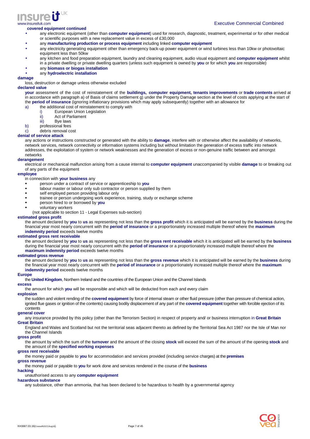

#### **covered equipment continued**

- any electronic equipment (other than **computer equipment**) used for research, diagnostic, treatment, experimental or for other medical or scientific purposes with a new replacement value in excess of £30,000
- any **manufacturing production or process equipment** including linked **computer equipment**
- any electricity generating equipment other than emergency back-up power equipment or wind turbines less than 10kw or photovoltaic equipment less than 50kw
- any kitchen and food preparation equipment, laundry and cleaning equipment, audio visual equipment and **computer equipment** whilst
- in a private dwelling or private dwelling quarters (unless such equipment is owned by **you** or for which **you** are responsible)
- any **biomass or biogas installation**

# • any **hydroelectric installation**

**damage**  loss, destruction or damage unless otherwise excluded

#### **declared value**

**your** assessment of the cost of reinstatement of the **buildings, computer equipment, tenants improvements** or **trade contents** arrived at in accordance with paragraph a) of Basis of claims settlement g) under the Property Damage section at the level of costs applying at the start of the **period of insurance** (ignoring inflationary provisions which may apply subsequently) together with an allowance for

- a) the additional cost of reinstatement to comply with
	- European Union Legislation
	- ii) Act of Parliament
	- iii) Bye laws
- b) professional fees

c) debris removal cost

#### **denial of service attack**

any actions or instructions constructed or generated with the ability to **damage**, interfere with or otherwise affect the availability of networks, network services, network connectivity or information systems including but without limitation the generation of excess traffic into network addresses, the exploitation of system or network weaknesses and the generation of excess or non-genuine traffic between and amongst networks

#### **derangement**

electrical or mechanical malfunction arising from a cause internal to **computer equipment** unaccompanied by visible **damage** to or breaking out of any parts of the equipment

#### **employee**

in connection with **your business** any

- person under a contract of service or apprenticeship to **you**
- labour master or labour only sub contractor or person supplied by them
- self employed person providing labour only
- trainee or person undergoing work experience, training, study or exchange scheme
- person hired to or borrowed by **you**
- voluntary workers

(not applicable to section 11 - Legal Expenses sub-section)

#### **estimated gross profit**

the amount declared by **you** to **us** as representing not less than the **gross profit** which it is anticipated will be earned by the **business** during the financial year most nearly concurrent with the **period of insurance** or a proportionately increased multiple thereof where the **maximum indemnity period** exceeds twelve months

#### **estimated gross rent receivable**

the amount declared by **you** to **us** as representing not less than the **gross rent receivable** which it is anticipated will be earned by the **business** during the financial year most nearly concurrent with the **period of insurance** or a proportionately increased multiple thereof where the **maximum indemnity period** exceeds twelve months

#### **estimated gross revenue**

the amount declared by **you** to **us** as representing not less than the **gross revenue** which it is anticipated will be earned by the **business** during the financial year most nearly concurrent with the **period of insurance** or a proportionately increased multiple thereof where the **maximum indemnity period** exceeds twelve months

#### **Europe**

the **United Kingdom**, Northern Ireland and the countries of the European Union and the Channel Islands

#### **excess**

the amount for which **you** will be responsible and which will be deducted from each and every claim

#### **explosion**

the sudden and violent rending of the **covered equipment** by force of internal steam or other fluid pressure (other than pressure of chemical action, ignited flue gases or ignition of the contents) causing bodily displacement of any part of the **covered equipment** together with forcible ejection of its contents

#### **general cover**

any insurance provided by this policy (other than the Terrorism Section) in respect of property and/ or business interruption in **Great Britain Great Britain** 

England and Wales and Scotland but not the territorial seas adjacent thereto as defined by the Territorial Sea Act 1987 nor the Isle of Man nor the Channel Islands

#### **gross profit**

the amount by which the sum of the **turnover** and the amount of the closing **stock** will exceed the sum of the amount of the opening **stock** and the amount of the **specified working expenses**

#### **gross rent receivable**

the money paid or payable to **you** for accommodation and services provided (including service charges) at the **premises**

#### **gross revenue**

the money paid or payable to **you** for work done and services rendered in the course of the **business**

#### **hacking**

unauthorised access to any **computer equipment**

## **hazardous substance**

any substance, other than ammonia, that has been declared to be hazardous to health by a governmental agency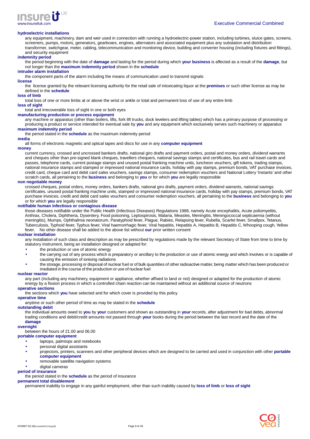

#### **hydroelectric installations**

any equipment, machinery, dam and weir used in connection with running a hydroelectric-power station, including turbines, sluice gates, screens, screeners, pumps, motors, generators, gearboxes, engines, alternators and associated equipment plus any substation and distribution transformer, switchgear, meter, cabling, telecommunication and monitoring device, building and converter housing (including fixtures and fittings), and security equipment

#### **indemnity period**

the period beginning with the date of **damage** and lasting for the period during which **your business** is affected as a result of the **damage**, but not longer than the **maximum indemnity period** shown in the **schedule**

#### **intruder alarm installation**

the component parts of the alarm including the means of communication used to transmit signals

#### **license**

the license granted by the relevant licensing authority for the retail sale of intoxicating liquor at the **premises** or such other license as may be defined in the **schedule**

#### **loss of limb**

total loss of one or more limbs at or above the wrist or ankle or total and permanent loss of use of any entire limb

# **loss of sight**

total and irrecoverable loss of sight in one or both eyes

#### **manufacturing production or process equipment**

any machine or apparatus (other than boilers, lifts, fork lift trucks, dock levelers and lifting tables) which has a primary purpose of processing or producing a product or service intended for eventual sale by **you** and any equipment which exclusively serves such machinery or apparatus **maximum indemnity period**

the period stated in the **schedule** as the maximum indemnity period

#### **media**

all forms of electronic magnetic and optical tapes and discs for use in any **computer equipment**

#### **money**

current currency, crossed and uncrossed bankers drafts, national giro drafts and payment orders, postal and money orders, dividend warrants and cheques other than pre-signed blank cheques, travellers chequers, national savings stamps and certificates, bus and rail travel cards and passes, telephone cards, current postage stamps and unused postal franking machine units, luncheon vouchers, gift tokens, trading stamps, national insurance stamps and stamped or impressed national insurance cards, holiday with pay stamps, premium bonds, VAT purchase invoices, credit card, cheque card and debit card sales vouchers, savings stamps, consumer redemption vouchers and National Lottery 'Instants' and other scratch cards, all pertaining to the **business** and belonging to **you** or for which **you** are legally responsible

#### **non negotiable money**

crossed cheques, postal orders, money orders, bankers drafts, national giro drafts, payment orders, dividend warrants, national savings certificates, unused postal franking machine units, stamped or impressed national insurance cards, holiday with pay stamps, premium bonds, VAT purchase invoices, credit and debit card sales vouchers and consumer redemption vouchers, all pertaining to the **business** and belonging to **you** or for which **you** are legally responsible

#### **notifiable human infectious or contagious disease**

those diseases notifiable under the Public Health (Infectious Diseases) Regulations 1988, namely Acute encephalitis, Acute poliomyelitis, Anthrax, Cholera, Diphtheria, Dysentery, Food poisoning, Leptospirosis, Malaria, Measles, Meningitis, Meningococcal septicaemia (without meningitis), Mumps, Ophthalmia neonatorum, Paratyphoid fever, Plague, Rabies, Relapsing fever, Rubella, Scarlet fever, Smallpox, Tetanus, Tuberculosis, Typhoid fever, Typhus fever, Viral haemorrhagic fever, Viral hepatitis, Hepatitis A, Hepatitis B, Hepatitis C, Whooping cough, Yellow fever. No other disease shall be added to the above list without **our** prior written consent

#### **nuclear installation**

any installation of such class and description as may be prescribed by regulations made by the relevant Secretary of State from time to time by statutory instrument, being an installation designed or adapted for:

- the production or use of atomic energy
- the carrying out of any process which is preparatory or ancillary to the production or use of atomic energy and which involves or is capable of causing the emission of ionising radiations
- the storage, processing or disposal of nuclear fuel or of bulk quantities of other radioactive matter, being matter which has been produced or irradiated in the course of the production or use of nuclear fuel

#### **nuclear reactor**

any part (including any machinery, equipment or appliance, whether affixed to land or not) designed or adapted for the production of atomic energy by a fission process in which a controlled chain reaction can be maintained without an additional source of neutrons

#### **operative sections**

the sections which **you** have selected and for which cover is provided by this policy

#### **operative time**

anytime or such other period of time as may be stated in the **schedule**

#### **outstanding debit**

the individual amounts owed to **you** by **your** customers and shown as outstanding in **your** records, after adjustment for bad debts, abnormal trading conditions and debit/credit amounts not passed through **your** books during the period between the last record and the date of the **damage**

#### **overnight**

between the hours of 21.00 and 06.00

#### **portable computer equipment**

- laptops, palmtops and notebooks
- personal digital assistants
- projectors, printers, scanners and other peripheral devices which are designed to be carried and used in conjunction with other **portable computer equipment**
- removable satellite navigation systems
- digital cameras

#### **period of insurance**

the period stated in the **schedule** as the period of insurance

#### **permanent total disablement**

permanent inability to engage in any gainful employment, other than such inability caused by **loss of limb** or **loss of sight**

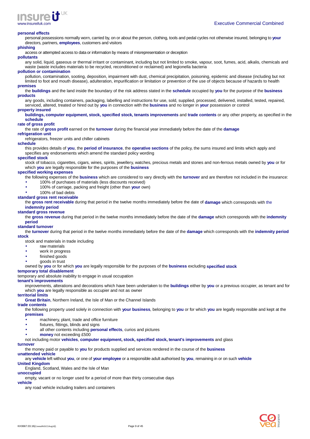

#### **personal effects**

personal possessions normally worn, carried by, on or about the person, clothing, tools and pedal cycles not otherwise insured, belonging to **your** directors, partners, **employees**, customers and visitors

#### **phishing**

access or attempted access to data or information by means of misrepresentation or deception

#### **pollutants**

any solid, liquid, gaseous or thermal irritant or contaminant, including but not limited to smoke, vapour, soot, fumes, acid, alkalis, chemicals and waste (waste includes materials to be recycled, reconditioned or reclaimed) and legionella bacteria

### **pollution or contamination**

pollution, contamination, sooting, deposition, impairment with dust, chemical precipitation, poisoning, epidemic and disease (including but not limited to foot and mouth disease), adulteration, impurification or limitation or prevention of the use of objects because of hazards to health

#### **premises**

the **buildings** and the land inside the boundary of the risk address stated in the **schedule** occupied by **you** for the purpose of the **business products**

any goods, including containers, packaging, labelling and instructions for use, sold, supplied, processed, delivered, installed, tested, repaired, serviced, altered, treated or hired out by **you** in connection with the **business** and no longer in **your** possession or control

#### **property insured**

**buildings, computer equipment, stock, specified stock, tenants improvements** and **trade contents** or any other property, as specified in the **schedule**

#### **rate of gross profit**

the rate of **gross profit** earned on the **turnover** during the financial year immediately before the date of the **damage**

#### **refrigeration unit**

refrigerators, freezer units and chiller cabinets

#### **schedule**

this provides details of **you**, the **period of insurance**, the **operative sections** of the policy, the sums insured and limits which apply and specifies any endorsements which amend the standard policy wording

#### **specified stock**

stock of tobacco, cigarettes, cigars, wines, spirits, jewellery, watches, precious metals and stones and non-ferrous metals owned by **you** or for which **you** are legally responsible for the purposes of the **business**

#### **specified working expenses**

the following expenses of the **business** which are considered to vary directly with the **turnover** and are therefore not included in the insurance: • 100% of purchases of materials (less discounts received)

- 100% of carriage, packing and freight (other than **your** own)
	-

# • 100% of bad debts

**standard gross rent receivable**

the **gross rent receivable** during that period in the twelve months immediately before the date of **damage** which corresponds with the **indemnity period**

#### **standard gross revenue**

the **gross revenue** during that period in the twelve months immediately before the date of the **damage** which corresponds with the **indemnity period**

#### **standard turnover**

the **turnover** during that period in the twelve months immediately before the date of the **damage** which corresponds with the **indemnity period stock** 

stock and materials in trade including

- raw materials
- work in progress
- finished goods
- goods in trust

owned by **you** or for which **you** are legally responsible for the purposes of the **business** excluding **specified stock**

#### **temporary total disablement**

temporary and absolute inability to engage in usual occupation

#### **tenant's improvements**

improvements, alterations and decorations which have been undertaken to the **buildings** either by **you** or a previous occupier, as tenant and for which **you** are legally responsible as occupier and not as owner

# **territorial limits**

**Great Britain**, Northern Ireland, the Isle of Man or the Channel Islands

#### **trade contents**

the following property used solely in connection with **your business**, belonging to **you** or for which **you** are legally responsible and kept at the **premises**

- machinery, plant, trade and office furniture
- fixtures, fittings, blinds and signs
- all other contents including **personal effects**, curios and pictures
- **money** not exceeding £500

not including motor **vehicles**, **computer equipment, stock, specified stock, tenant's improvements** and glass

#### **turnover**

the money paid or payable to **you** for products supplied and services rendered in the course of the **business**

# **unattended vehicle**

any **vehicle** left without **you**, or one of **your employee** or a responsible adult authorised by **you**, remaining in or on such **vehicle United Kingdom** 

# England, Scotland, Wales and the Isle of Man

**unoccupied** 

empty, vacant or no longer used for a period of more than thirty consecutive days

#### **vehicle**

any road vehicle including trailers and containers

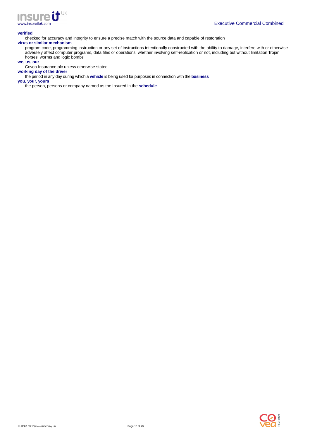

#### **verified**

checked for accuracy and integrity to ensure a precise match with the source data and capable of restoration

# **virus or similar mechanism**

program code, programming instruction or any set of instructions intentionally constructed with the ability to damage, interfere with or otherwise adversely affect computer programs, data files or operations, whether involving self-replication or not, including but without limitation Trojan horses, worms and logic bombs

#### **we, us, our**

Covea Insurance plc unless otherwise stated

**working day of the driver**  the period in any day during which a **vehicle** is being used for purposes in connection with the **business**

**you, your, yours** 

the person, persons or company named as the Insured in the **schedule**

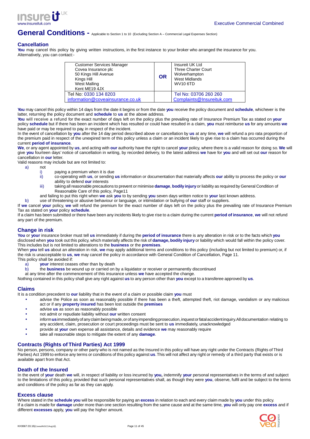



# **General Conditions -** Applicable to Section 1 to 10 (Excluding Section A – Commercial Legal Expenses Section)

# **Cancellation**

**You** may cancel this policy by giving written instructions, in the first instance to your broker who arranged the insurance for you. Alternatively, you can contact:-

| <b>Customer Services Manager</b><br>Covea Insurance plc<br>50 Kings Hill Avenue<br>Kings Hill<br><b>West Malling</b><br>Kent ME19 4JX | <b>OR</b> | Insureit UK Ltd<br><b>Three Charter Court</b><br>Wolverhampton<br><b>West Midlands</b><br><b>WV10 6TD</b> |
|---------------------------------------------------------------------------------------------------------------------------------------|-----------|-----------------------------------------------------------------------------------------------------------|
| Tel No: 0330 134 8203                                                                                                                 |           | Tel No: 03706 260 260                                                                                     |
| information@coveainsurance.co.uk                                                                                                      |           | Complaints@Insureituk.com                                                                                 |

**You** may cancel this policy within 14 days from the date it begins or from the date **you** receive the policy document and **schedule**, whichever is the latter, returning the policy document and **schedule** to **us** at the above address.

**You** will receive a refund for the exact number of days left on the policy plus the prevailing rate of Insurance Premium Tax as stated on **your** policy **schedule** but if there has been an incident which has resulted or could have resulted in a claim, **you** must reimburse **us** for any amounts **we** have paid or may be required to pay, in respect of the incident.

In the event of cancellation by **you** after the 14 day period described above or cancellation by **us** at any time, **we** will refund a pro rata proportion of the premium paid in respect of the unexpired term of this policy unless a claim or an incident likely to give rise to a claim has occurred during the current **period of insurance**.

**We**, or any agent appointed by **us**, and acting with **our** authority have the right to cancel **your** policy, where there is a valid reason for doing so. **We** will give **you** fourteen days' notice of cancellation in writing, by recorded delivery, to the latest address **we** have for **you** and will set out **our** reason for cancellation in **our** letter.

Valid reasons may include but are not limited to:<br>a) not

- not
	- paying a premium when it is due
	- ii) co-operating with **us**, or sending **us** information or documentation that materially affects **our** ability to process the policy or **our** ability to defend **our** interests
	- iii) taking all reasonable precautions to prevent or minimise **damage**, **bodily injury** or liability as required by General Condition of Reasonable Care of this policy, Page11
	- and failing to put this right when **we** ask **you** to by sending **you** seven days written notice to **your** last known address.

b) use of threatening or abusive behaviour or language, or intimidation or bullying of **our** staff or suppliers.

If **we** cancel **your** policy, **we** will refund the premium for the exact number of days left on the policy plus the prevailing rate of Insurance Premium Tax as stated on **your** policy **schedule**.

If a claim has been submitted or there have been any incidents likely to give rise to a claim during the current **period of insurance**, **we** will not refund any part of the premium.

# **Change in risk**

**You** or **your** insurance broker must tell **us** immediately if during the **period of insurance** there is any alteration in risk or to the facts which **you**  disclosed when **you** took out this policy, which materially affects the risk of **damage, bodily injury** or liability which would fall within the policy cover. This includes but is not limited to alterations to the **business** or the **premises**.

When **you** tell **us** about an alteration in risk, **we** may apply additional terms and conditions to this policy (including but not limited to premium) or, if the risk is unacceptable to **us**, **we** may cancel the policy in accordance with General Condition of Cancellation, Page 11.

This policy shall be avoided if: a) **your** interest ceases other than by death

b) the **business** be wound up or carried on by a liquidator or receiver or permanently discontinued

at any time after the commencement of this insurance unless **we** have accepted the change.

Nothing contained in this policy shall give any right against **us** to any person other than **you** except to a transferee approved by **us**.

# **Claims**

It is a condition precedent to **our** liability that in the event of a claim or possible claim **you** must

- advise the Police as soon as reasonably possible if there has been a theft, attempted theft, riot damage, vandalism or any malicious act or if any **property insured** has been lost outside the **premises**
- advise **us** as soon as reasonably possible
- not admit or repudiate liability without **our** written consent
- inform **us**immediately of any claim being made, or of any impending prosecution, inquest or fatal accident inquiry. All documentation relating to any accident, claim, prosecution or court proceedings must be sent to **us** immediately, unacknowledged
- provide at **your** own expense all assistance, details and evidence **we** may reasonably require
- take all reasonable steps to mitigate the extent of any **damage**.

# **Contracts (Rights of Third Parties) Act 1999**

No person, persons, company or other party who is not named as the Insured in this policy will have any right under the Contracts (Rights of Third Parties) Act 1999 to enforce any terms or conditions of this policy against **us**. This will not affect any right or remedy of a third party that exists or is available apart from that Act.

### **Death of the Insured**

In the event of **your** death **we** will, in respect of liability or loss incurred by **you,** indemnify **your** personal representatives in the terms of and subject to the limitations of this policy, provided that such personal representatives shall, as though they were **you**, observe, fulfil and be subject to the terms and conditions of the policy as far as they can apply.

### **Excess clause**

Where stated in the **schedule you** will be responsible for paying an **excess** in relation to each and every claim made by **you** under this policy. If a claim is made for **damage** under more than one section resulting from the same cause and at the same time, **you** will only pay one **excess** and if different **excesses** apply, **you** will pay the higher amount.

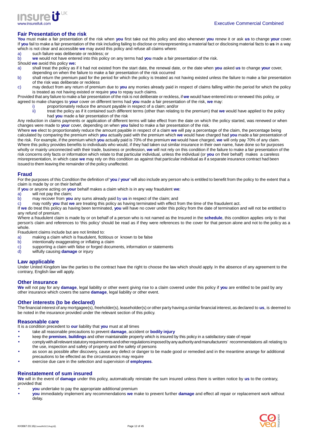

# **Fair Presentation of the risk**

**You** must make a fair presentation of the risk when **you** first take out this policy and also whenever **you** renew it or ask **us** to change **your** cover. If **you** fail to make a fair presentation of the risk including failing to disclose or misrepresenting a material fact or disclosing material facts to **us** in a way which is not clear and accessible **we** may avoid this policy and refuse all claims where:

- a) such failure was deliberate or reckless; or
- b) **we** would not have entered into this policy on any terms had **you** made a fair presentation of the risk.
- Should **we** avoid this policy **we:**
- a) shall treat the policy as if it had not existed from the start date, the renewal date, or the date when **you** asked **us** to change **your** cover,
- depending on when the failure to make a fair presentation of the risk occurred
- b) shall return the premium paid for the period for which the policy is treated as not having existed unless the failure to make a fair presentation of the risk was deliberate or reckless
- c) may deduct from any return of premium due to **you** any monies already paid in respect of claims falling within the period for which the policy is treated as not having existed or require **you** to repay such claims.

Provided that any failure to make a fair presentation of the risk is not deliberate or reckless, if **we** would have entered into or renewed this policy, or agreed to make changes to **your** cover on different terms had **you** made a fair presentation of the risk, **we** may:

- - i) proportionately reduce the amount payable in respect of a claim; and/or<br>ii) treat the policy as if it contained such different terms (other than relating treat the policy as if it contained such different terms (other than relating to the premium) that we would have applied to the policy had **you** made a fair presentation of the risk

Any reduction in claims payments or application of different terms will take effect from the date on which the policy started, was renewed or when changes were made to **your** cover, depending on when **you** failed to make a fair presentation of the risk.

Where **we** elect to proportionately reduce the amount payable in respect of a claim **we** will pay a percentage of the claim, the percentage being calculated by comparing the premium which **you** actually paid with the premium which **we** would have charged had **you** made a fair presentation of the risk. For example, if the premium which **you** actually paid is 70% of the premium **we** would have charged, **we** will only pay 70% of any claim. Where this policy provides benefits to individuals who would, if they had taken out similar insurance in their own name, have done so for purposes wholly or mainly unconnected with their trade, business or profession, **we** will not rely on this condition if the failure to make a fair presentation of the risk concerns only facts or information which relate to that particular individual, unless the individual (or **you** on their behalf) makes a careless misrepresentation, in which case **we** may rely on this condition as against that particular individual as if a separate insurance contract had been issued to them leaving the remainder of the policy unaffected.

### **Fraud**

For the purposes of this Condition the definition of '**you / your**' will also include any person who is entitled to benefit from the policy to the extent that a claim is made by or on their behalf.

If **you** or anyone acting on **your** behalf makes a claim which is in any way fraudulent **we**:

- a) will not pay the claim;<br>b) may recover from you
- b) may recover from **you** any sums already paid by **us** in respect of the claim; and c) may notify **you** that we are treating this policy as having terminated with effect fiest

c) may notify **you** that **we** are treating this policy as having terminated with effect from the time of the fraudulent act.

If **we** do treat this policy as having been terminated, **you** will have no cover under this policy from the date of termination and will not be entitled to any refund of premium.

Where a fraudulent claim is made by or on behalf of a person who is not named as the Insured in the **schedule**, this condition applies only to that person's claim and references to 'this policy' should be read as if they were references to the cover for that person alone and not to the policy as a whole

Fraudulent claims include but are not limited to:<br>a) making a claim which is fraudulent, fictit

- making a claim which is fraudulent, fictitious or known to be false
- b) intentionally exaggerating or inflating a claim
- c) supporting a claim with false or forged documents, information or statements
- d) wilfully causing **damage** or injury

### **Law applicable**

Under United Kingdom law the parties to the contract have the right to choose the law which should apply. In the absence of any agreement to the contrary, English law will apply.

### **Other insurance**

**We** will not pay for any **damage**, legal liability or other event giving rise to a claim covered under this policy if **you** are entitled to be paid by any other insurance which covers the same **damage**, legal liability or other event.

### **Other interests (to be declared)**

The financial interest of any mortgagee(s), freeholder(s), leaseholder(s) or other party having a similar financial interest, as declared to **us**, is deemed to be noted in the insurance provided under the relevant section of this policy.

#### **Reasonable care**

It is a condition precedent to **our** liability that **you** must at all times

- take all reasonable precautions to prevent **damage**, accident or **bodily injury**
- keep the **premises**, **buildings** and other maintainable property which is insured by this policy in a satisfactory state of repair
- comply with all relevant statutory requirements and other regulations imposed by any authority and manufacturers' recommendations all relating to the use, inspection and safety of property and the safety of persons
- as soon as possible after discovery, cause any defect or danger to be made good or remedied and in the meantime arrange for additional precautions to be effected as the circumstances may require
- exercise due care in the selection and supervision of **employees**.

### **Reinstatement of sum insured**

**We** will in the event of **damage** under this policy, automatically reinstate the sum insured unless there is written notice by **us** to the contrary, provided that

- **you** undertake to pay the appropriate additional premium
- **you** immediately implement any recommendations **we** make to prevent further **damage** and effect all repair or replacement work without delay.

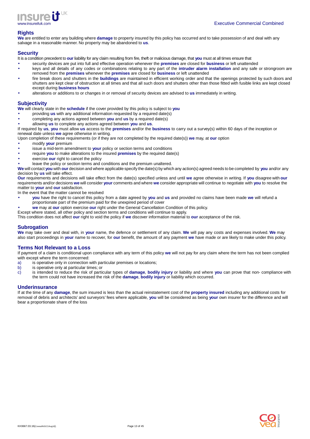

# **Rights**

**We** are entitled to enter any building where **damage** to property insured by this policy has occurred and to take possession of and deal with any salvage in a reasonable manner. No property may be abandoned to **us**.

# **Security**

It is a condition precedent to **our** liability for any claim resulting from fire, theft or malicious damage, that **you** must at all times ensure that

- security devices are put into full and effective operation whenever the **premises** are closed for **business** or left unattended • keys and all details of any codes or combinations relating to any part of the **intruder alarm installation** and any safe or strongroom are
- removed from the **premises** whenever the **premises** are closed for **business** or left unattended • fire break doors and shutters in the **buildings** are maintained in efficient working order and that the openings protected by such doors and shutters are kept clear of obstruction at all times and that all such doors and shutters other than those fitted with fusible links are kept closed except during **business hours**
- alterations or additions to or changes in or removal of security devices are advised to **us** immediately in writing.

## **Subjectivity**

**We** will clearly state in the **schedule** if the cover provided by this policy is subject to **you**

- providing **us** with any additional information requested by a required date(s)
- completing any actions agreed between **you** and **us** by a required date(s)
- allowing **us** to complete any actions agreed between **you** and **us**.

If required by **us**, **you** must allow **us** access to the **premises** and/or the **business** to carry out a survey(s) within 60 days of the inception or renewal date unless **we** agree otherwise in writing.

Upon completion of these requirements (or if they are not completed by the required date(s)) **we** may, at **our** option

- modify **your** premium
- issue a mid-term amendment to **your** policy or section terms and conditions
- require **you** to make alterations to the insured **premises** by the required date(s)
- exercise **our** right to cancel the policy
- leave the policy or section terms and conditions and the premium unaltered.

**We** will contact **you** with **our** decision and where applicable specify the date(s) by which any action(s) agreed needs to be completed by **you** and/or any decision by **us** will take effect.

**Our** requirements and decisions will take effect from the date(s) specified unless and until **we** agree otherwise in writing. If **you** disagree with **our** requirements and/or decisions **we** will consider **your** comments and where **we** consider appropriate will continue to negotiate with **you** to resolve the matter to **your** and **our** satisfaction.

In the event that the matter cannot be resolved

- **you** have the right to cancel this policy from a date agreed by **you** and **us** and provided no claims have been made **we** will refund a proportionate part of the premium paid for the unexpired period of cover
- **we** may at **our** option exercise **our** right under the General Cancellation Condition of this policy.
- Except where stated, all other policy and section terms and conditions will continue to apply.

This condition does not affect **our** right to void the policy if **we** discover information material to **our** acceptance of the risk.

### **Subrogation**

**We** may take over and deal with, in **your** name, the defence or settlement of any claim. **We** will pay any costs and expenses involved. **We** may also start proceedings in **your** name to recover, for **our** benefit, the amount of any payment **we** have made or are likely to make under this policy.

### **Terms Not Relevant to a Loss**

If payment of a claim is conditional upon compliance with any term of this policy **we** will not pay for any claim where the term has not been complied with except where the term concerned:

- a) is operative only in connection with particular premises or locations;
- 
- b) is operative only at particular times; or<br>c) is intended to reduce the risk of partic c) is intended to reduce the risk of particular types of **damage**, **bodily injury** or liability and where **you** can prove that non- compliance with the term could not have increased the risk of the **damage**, **bodily injury** or liability which occurred.

### **Underinsurance**

If at the time of any **damage**, the sum insured is less than the actual reinstatement cost of the **property insured** including any additional costs for removal of debris and architects' and surveyors' fees where applicable, **you** will be considered as being **your** own insurer for the difference and will bear a proportionate share of the loss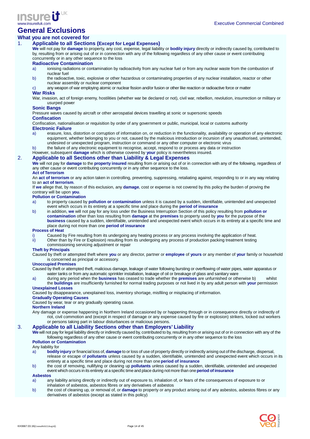

# **General Exclusions**

# **What you are not covered for**

# 1. **Applicable to all Sections (Except for Legal Expenses)**

**We** will not pay for **damage** to property, any cost, expense, legal liability or **bodily injury** directly or indirectly caused by, contributed to by, resulting from or arising out of or in connection with any of the following regardless of any other cause or event contributing concurrently or in any other sequence to the loss

#### **Radioactive Contamination**

a) ionising radiations or contamination by radioactivity from any nuclear fuel or from any nuclear waste from the combustion of nuclear fuel

- b) the radioactive, toxic, explosive or other hazardous or contaminating properties of any nuclear installation, reactor or other nuclear assembly or nuclear component
- c) any weapon of war employing atomic or nuclear fission and/or fusion or other like reaction or radioactive force or matter

# **War Risks**

War, invasion, act of foreign enemy, hostilities (whether war be declared or not), civil war, rebellion, revolution, insurrection or military or usurped power

#### **Sonic Bangs**

Pressure waves caused by aircraft or other aerospatial devices travelling at sonic or supersonic speeds

# **Confiscation**

Confiscation, nationalisation or requisition by order of any government or public, municipal, local or customs authority

- **Electronic Failure**
- erasure, loss, distortion or corruption of information on, or reduction in the functionality, availability or operation of any electronic equipment, whether belonging to you or not, caused by the malicious introduction or incursion of any unauthorised, unintended, undesired or unexpected program, instruction or command or any other computer or electronic virus
- b) the failure of any electronic equipment to recognise, accept, respond to or process any data or instruction
- However, subsequent **damage** which is otherwise covered by **your** policy is nevertheless insured.

#### 2. **Applicable to all Sections other than Liability & Legal Expenses**

**We** will not pay for **damage** to the **property insured** resulting from or arising out of or in connection with any of the following, regardless of any other cause or event contributing concurrently or in any other sequence to the loss.

#### **Act of Terrorism**

An **act of terrorism** or any action taken in controlling, preventing, suppressing, retaliating against, responding to or in any way relating to an **act of terrorism**.

If **we** allege that, by reason of this exclusion, any **damage**, cost or expense is not covered by this policy the burden of proving the contrary will be upon **you**.

#### **Pollution or Contamination**

- a) to property caused by **pollution or contamination** unless it is caused by a sudden, identifiable, unintended and unexpected event which occurs in its entirety at a specific time and place during the **period of insurance**
- b) in addition, **we** will not pay for any loss under the Business Interruption Section of this policy resulting from **pollution or contamination** other than loss resulting from **damage** at the **premises** to property used by **you** for the purpose of the **business** caused by a sudden, identifiable, unintended and unexpected event which occurs in its entirety at a specific time and place during not more than one **period of insurance**

#### **Process of Heat**

- i) Caused by Fire resulting from its undergoing any heating process or any process involving the application of heat.
- ii) Other than by Fire or Explosion) resulting from its undergoing any process of production packing treatment testing

# commissioning servicing adjustment or repair

# **Theft by Principals**

Caused by theft or attempted theft where **you** or any director, partner or **employee** of **yours** or any member of **your** family or household is concerned as principal or accessory.

#### **Unoccupied Premises**

Caused by theft or attempted theft, malicious damage, leakage of water following bursting or overflowing of water pipes, water apparatus or water tanks or from any automatic sprinkler installation, leakage of oil or breakage of glass and sanitary ware

a) during any period when the **business** has ceased to trade whether the **premises** are unfurnished or otherwise b) whilst the **buildings** are insufficiently furnished for normal trading purposes or not lived in by any adult person with **your** permission

#### **Unexplained Losses**

Caused by disappearance, unexplained loss, inventory shortage, misfiling or misplacing of information.

#### **Gradually Operating Causes**

Caused by wear, tear or any gradually operating cause.

#### **Northern Ireland**

Any damage or expense happening in Northern Ireland occasioned by or happening through or in consequence directly or indirectly of riot, civil commotion and (except in respect of damage or any expense caused by fire or explosion) strikers, locked out workers or persons taking part in labour disturbances or malicious persons.

# 3. **Applicable to all Liability Sections other than Employers' Liability**

**We** will not pay for legal liability directly or indirectly caused by, contributed to by, resulting from or arising out of or in connection with any of the following regardless of any other cause or event contributing concurrently or in any other sequence to the loss **Pollution or Contamination**

- Any liability for<br>a) **bodily** a) **bodily injury** or financial loss of, **damage** to or loss of use of property directly or indirectly arising out of the discharge, dispersal, release or escape of **pollutants** unless caused by a sudden, identifiable, unintended and unexpected event which occurs in its entirety at a specific time and place during not more than one **period of insurance**
- b) the cost of removing, nullifying or cleaning up **pollutants** unless caused by a sudden, identifiable, unintended and unexpected event which occurs in its entirety at a specific time and place during not more than one **period of insurance**

# **Asbestos**

- a) any liability arising directly or indirectly out of exposure to, inhalation of, or fears of the consequences of exposure to or inhalation of asbestos, asbestos fibres or any derivatives of asbestos
- b) the cost of cleaning up, or removal of, or **damage** to property or any product arising out of any asbestos, asbestos fibres or any derivatives of asbestos (except as stated in this policy)

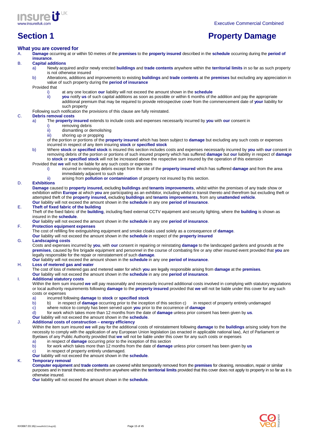



# **Section 1 Property Damage**

#### **What you are covered for**

A. **Damage** occurring at or within 50 metres of the **premises** to the **property insured** described in the **schedule** occurring during the **period of insurance**.

# B. **Capital additions**

- a) Newly acquired and/or newly erected **buildings** and **trade contents** anywhere within the **territorial limits** in so far as such property is not otherwise insured
	- b) Alterations, additions and improvements to existing **buildings** and **trade contents** at the **premises** but excluding any appreciation in value of such property during the **period of insurance**

Provided that

- i) at any one location **our** liability will not exceed the amount shown in the **schedule**<br>ii) vou notify us of such capital additions as soon as possible or within 6 months of the
- **you** notify us of such capital additions as soon as possible or within 6 months of the addition and pay the appropriate additional premium that may be required to provide retrospective cover from the commencement date of **your** liability for such property

### Following such notification the provisions of this clause are fully reinstated.

#### C. **Debris removal costs**

- a) The **property insured** extends to include costs and expenses necessarily incurred by **you** with **our** consent in
	- i) removing debris<br>ii) dismantling or de
	- ii) dismantling or demolishing<br>iii) shoring up or propping shoring up or propping
	- of the portion or portions of the **property insured** which has been subject to **damage** but excluding any such costs or expenses incurred in respect of any item insuring **stock** or **specified stock**
- b) Where **stock** or **specified stock** is insured this section includes costs and expenses necessarily incurred by **you** with **our** consent in removing debris of the portion or portions of such insured property which has suffered **damage** but **our** liability in respect of **damage** to **stock** or **specified stock** will not be increased above the respective sum insured by the operation of this extension
- Provided that **we** will not be liable for any such costs or expenses
	- i) incurred in removing debris except from the site of the **property insured** which has suffered **damage** and from the area immediately adjacent to such site
	- ii) arising from **pollution or contamination** of property not insured by this section.

#### D. **Exhibitions**

**Damage** caused to **property insured,** excluding **buildings** and **tenants improvements**, whilst within the premises of any trade show or exhibition within **Europe** at which **you** are participating as an exhibitor, including whilst in transit thereto and therefrom but excluding theft or attempted theft of the **property insured,** excluding **buildings** and **tenants improvements**, from any **unattended vehicle**. **Our** liability will not exceed the amount shown in the **schedule** in any one **period of insurance**.

#### E. **Theft of fixed fabric of the building**

Theft of the fixed fabric of the **building**, including fixed external CCTV equipment and security lighting, where the **building** is shown as insured in the **schedule**.

**Our** liability will not exceed the amount shown in the **schedule** in any one **period of insurance**.

#### F. **Protection equipment expenses**

The cost of refilling fire extinguishing equipment and smoke cloaks used solely as a consequence of **damage**.

**Our** liability will not exceed the amount shown in the **schedule** in respect of the **property insured**

#### G. **Landscaping costs**

Costs and expenses incurred by **you**, with **our** consent in repairing or reinstating **damage** to the landscaped gardens and grounds at the **premises**, caused by fire brigade equipment and personnel in the course of combating fire or any other insured event provided that **you** are legally responsible for the repair or reinstatement of such **damage**.

**Our** liability will not exceed the amount shown in the **schedule** in any one **period of insurance**.

# H. **Loss of metered gas and water**

The cost of loss of metered gas and metered water for which **you** are legally responsible arising from **damage** at the **premises**.

**Our** liability will not exceed the amount shown in the **schedule** in any one **period of insurance**.

## I. **Additional statutory costs**

Within the item sum insured **we** will pay reasonably and necessarily incurred additional costs involved in complying with statutory regulations or local authority requirements following **damage** to the **property insured** provided that **we** will not be liable under this cover for any such costs or expenses

- a) incurred following **damage** to **stock** or **specified stock**
- b) b) in respect of **damage** occurring prior to the inception of this section c) in respect of property entirely undamaged
- c) where notice to comply has been served upon **you** prior to the occurrence of **damage**
- d) for work which takes more than 12 months from the date of **damage** unless prior consent has been given by **us**.
- **Our** liability will not exceed the amount shown in the **schedule**.

### J. **Additional costs of construction – energy efficiency**

Within the item sum insured **we** will pay for the additional costs of reinstatement following **damage** to the **buildings** arising solely from the necessity to comply with the application of any European Union legislation (as enacted in applicable national law), Act of Parliament or Byelaws of any Public Authority provided that **we** will not be liable under this cover for any such costs or expenses

- a) in respect of **damage** occurring prior to the inception of this section
- b) for work which takes more than 12 months from the date of **damage** unless prior consent has been given by **us**
- c) in respect of property entirely undamaged.
- **Our** liability will not exceed the amount shown in the **schedule**.

#### K. **Temporary removal**

**Computer equipment** and **trade contents** are covered whilst temporarily removed from the **premises** for cleaning, renovation, repair or similar purposes and in transit thereto and therefrom anywhere within the **territorial limits** provided that this cover does not apply to property in so far as it is otherwise insured.

**Our** liability will not exceed the amount shown in the **schedule**.

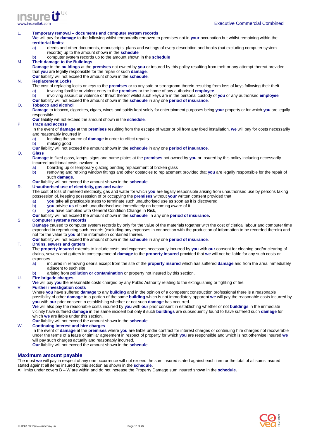

#### L. **Temporary removal – documents and computer system records**

**We** will pay for **damage** to the following whilst temporarily removed to premises not in **your** occupation but whilst remaining within the **territorial limits**:

a) deeds and other documents, manuscripts, plans and writings of every description and books (but excluding computer system records) up to the amount shown in the **schedule**

b) computer system records up to the amount shown in the **schedule** 

#### M. **Theft damage to the Buildings**

**Damage** to the **buildings** at the **premises** not owned by **you** or insured by this policy resulting from theft or any attempt thereat provided that **you** are legally responsible for the repair of such **damage**.

**Our** liability will not exceed the amount shown in the **schedule**.

#### N. **Replacement Locks**

The cost of replacing locks or keys to the **premises** or to any safe or strongroom therein resulting from loss of keys following their theft a) involving forcible or violent entry to the **premises** or the home of any authorised **employee**

b) involving assault or violence or threat thereof whilst such keys are in the personal custody of **you** or any authorised **employee Our** liability will not exceed the amount shown in the **schedule** in any one **period of insurance**.

#### O. **Tobacco and alcohol**

**Damage** to tobacco, cigarettes, cigars, wines and spirits kept solely for entertainment purposes being **your** property or for which **you** are legally responsible.

#### **Our** liability will not exceed the amount shown in the **schedule**.

#### P. **Trace and access**

In the event of **damage** at the **premises** resulting from the escape of water or oil from any fixed installation, **we** will pay for costs necessarily and reasonably incurred in

- a) locating the source of **damage** in order to effect repairs
- b) making good

**Our** liability will not exceed the amount shown in the **schedule** in any one **period of insurance**.

#### Q. **Glass**

**Damage** to fixed glass, lamps, signs and name plates at the **premises** not owned by **you** or insured by this policy including necessarily incurred additional costs involved in

a) boarding up or temporary glazing pending replacement of broken glass

b) removing and refixing window fittings and other obstacles to replacement provided that **you** are legally responsible for the repair of such **damage**.

**Our** liability will not exceed the amount shown in the **schedule**.

### R. **Unauthorised use of electricity, gas and water**

The cost of loss of metered electricity, gas and water for which **you** are legally responsible arising from unauthorised use by persons taking possession of, keeping possession of or occupying the **premises** without **your** written consent provided that

- a) **you** take all practicable steps to terminate such unauthorised use as soon as it is discovered
- b) **you** advise **us** of such unauthorised use immediately on becoming aware of it
- c) **you** have complied with General Condition Change in Risk,
- **Our** liability will not exceed the amount shown in the **schedule** in any one **period of insurance.**

#### S. **Computer systems records**

**Damage** caused to computer system records by only for the value of the materials together with the cost of clerical labour and computer time expended in reproducing such records (excluding any expenses in connection with the production of information to be recorded therein) and not for the value to **you** of the information contained therein.

**Our** liability will not exceed the amount shown in the **schedule** in any one **period of insurance**.

#### T. **Drains, sewers and gutters**

The **property insured** extends to include costs and expenses necessarily incurred by **you** with **our** consent for cleaning and/or clearing of drains, sewers and gutters in consequence of **damage** to the **property insured** provided that **we** will not be liable for any such costs or expenses

a) incurred in removing debris except from the site of the **property insured** which has suffered **damage** and from the area immediately adjacent to such site

b) arising from **pollution or contamination** or property not insured by this section.

#### U. **Fire brigade charges**

**We** will pay **you** the reasonable costs charged by any Public Authority relating to the extinguishing or fighting of fire.

### V. **Further investigation costs**

Where **you** have suffered **damage** to any **building** and in the opinion of a competent construction professional there is a reasonable possibility of other **damage** to a portion of the same **building** which is not immediately apparent **we** will pay the reasonable costs incurred by **you** with **our** prior consent in establishing whether or not such **damage** has occurred.

**We** will also pay the reasonable costs incurred by **you** with **our** prior consent in establishing whether or not **buildings** in the immediate vicinity have suffered **damage** in the same incident but only if such **buildings** are subsequently found to have suffered such **damage** for which **we** are liable under this section.

**Our** liability will not exceed the amount shown in the **schedule**.

### W. **Continuing interest and hire charges**

In the event of **damage** at the **premises** where **you** are liable under contract for interest charges or continuing hire charges not recoverable under the terms of a lease or similar agreement in respect of property for which **you** are responsible and which is not otherwise insured **we**  will pay such charges actually and reasonably incurred.

**Our** liability will not exceed the amount shown in the **schedule**.

#### **Maximum amount payable**

The most **we** will pay in respect of any one occurrence will not exceed the sum insured stated against each item or the total of all sums insured stated against all items insured by this section as shown in the **schedule**.

All limits under covers B – W are within and do not increase the Property Damage sum insured shown in the **schedule.**

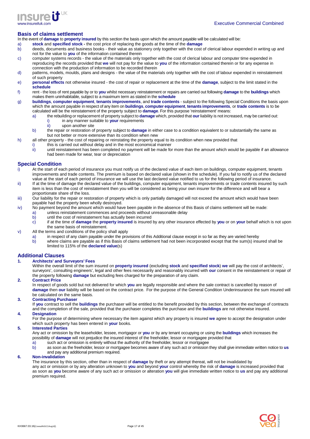

# **Basis of claims settlement**

In the event of **damage** to **property insured** by this section the basis upon which the amount payable will be calculated will be:<br>a) stock and specified stock - the cost price of replacing the goods at the time of the **da** 

a) **stock** and **specified stock -** the cost price of replacing the goods at the time of the **damage** 

- b) deeds, documents and business books their value as stationery only together with the cost of clerical labour expended in writing up and not for the value to **you** of the information contained therein
- c) computer systems records the value of the materials only together with the cost of clerical labour and computer time expended in reproducing the records provided that **we** will not pay for the value to **you** of the information contained therein or for any expense in connection with the production of information to be recorded therein
- d) patterns, models, moulds, plans and designs the value of the materials only together with the cost of labour expended in reinstatement of such property
- e) **personal effects** not otherwise insured the cost of repair or replacement at the time of the **damage**, subject to the limit stated in the **schedule**
- f) rent the loss of rent payable by or to **you** whilst necessary reinstatement or repairs are carried out following **damage** to the **buildings** which makes them uninhabitable, subject to a maximum term as stated in the **schedule**
- g) **buildings**, **computer equipment**, **tenants improvements**, and **trade contents**  subject to the following Special Conditions the basis upon which the amount payable in respect of any item on **buildings**, **computer equipment**, **tenants improvements**, or **trade contents** is to be calculated will be the reinstatement of the property subject to **damage**. For this purpose 'reinstatement' means:
	- a) the rebuilding or replacement of property subject to **damage** which, provided that **our** liability is not increased, may be carried out: in any manner suitable to **your** requirements
		- ii) upon another site
	- b) the repair or restoration of property subject to **damage** in either case to a condition equivalent to or substantially the same as but not better or more extensive than its condition when new
- h) all other property the cost of repairing or reinstating the property equal to its condition when new provided that
	- i) this is carried out without delay and in the most economical manner
	- ii) until reinstatement has been completed no payment will be made for more than the amount which would be payable if an allowance had been made for wear, tear or depreciation

### **Special Condition**

- i) At the start of each period of insurance you must notify us of the declared value of each item on buildings, computer equipment, tenants improvements and trade contents. The premium is based on declared value (shown in the schedule). If you fail to notify us of the declared value at the start of each period of insurance we will use the last declared value notified to us for the following period of insurance.
- ii) If at the time of damage the declared value of the buildings, computer equipment, tenants improvements or trade contents insured by such item is less than the cost of reinstatement then you will be considered as being your own insurer for the difference and will bear a proportionate share of the loss.
- iii) Our liability for the repair or restoration of property which is only partially damaged will not exceed the amount which would have been payable had the property been wholly destroyed.
- iv) No payment beyond the amount which would have been payable in the absence of this Basis of claims settlement will be made:
	- a) unless reinstatement commences and proceeds without unreasonable delay
	- b) until the cost of reinstatement has actually been incurred
		- c) if at the time of **damage** the **property insured** is insured by any other insurance effected by **you** or on **your** behalf which is not upon the same basis of reinstatement.
- v) All the terms and conditions of the policy shall apply
	- a) in respect of any claim payable under the provisions of this Additional clause except in so far as they are varied hereby
	- b) where claims are payable as if this Basis of claims settlement had not been incorporated except that the sum(s) insured shall be limited to 115% of the **declared value**(s)

### **Additional Clauses**

# **1. Architects' and Surveyors' Fees**

- Within the overall limit of the sum insured on **property insured** (excluding **stock** and **specified stock**) **we** will pay the cost of architects', surveyors', consulting engineers', legal and other fees necessarily and reasonably incurred with **our** consent in the reinstatement or repair of the property following **damage** but excluding fees charged for the preparation of any claim.
- **2. Contract Price**

In respect of goods sold but not delivered for which **you** are legally responsible and where the sale contract is cancelled by reason of **damage** then **our** liability will be based on the contract price. For the purpose of the General Condition Underinsurance the sum insured will be calculated on the same basis.

#### **3. Contracting Purchaser**

If **you** contract to sell the **buildings** the purchaser will be entitled to the benefit provided by this section, between the exchange of contracts and the completion of the sale, provided that the purchaser completes the purchase and the **buildings** are not otherwise insured.

#### **4. Designation**

For the purpose of determining where necessary the item against which any property is insured **we** agree to accept the designation under which such property has been entered in **your** books.

#### **5. Interested Parties**

Any act or omission by the leaseholder, lessee, mortgagor or **you** or by any tenant occupying or using the **buildings** which increases the possibility of **damage** will not prejudice the insured interest of the freeholder, lessor or mortgagee provided that

- a) such act or omission is entirely without the authority of the freeholder, lessor or mortgagee
- b) as soon as the freeholder, lessor or mortgagee becomes aware of any such act or omission they shall give immediate written notice to **us** and pay any additional premium required.

#### **6. Non-invalidation**

The insurance by this section, other than in respect of **damage** by theft or any attempt thereat, will not be invalidated by any act or omission or by any alteration unknown to **you** and beyond **your** control whereby the risk of **damage** is increased provided that as soon as **you** become aware of any such act or omission or alteration **you** will give immediate written notice to **us** and pay any additional premium required.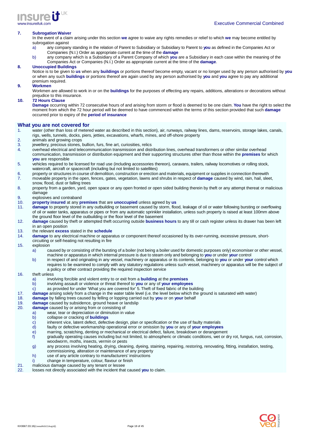

#### **7. Subrogation Waiver**

In the event of a claim arising under this section **we** agree to waive any rights remedies or relief to which **we** may become entitled by subrogation against

- a) any company standing in the relation of Parent to Subsidiary or Subsidiary to Parent to **you** as defined in the Companies Act or Companies (N.I.) Order as appropriate current at the time of the **damage**
- b) any company which is a Subsidiary of a Parent Company of which **you** are a Subsidiary in each case within the meaning of the Companies Act or Companies (N.I.) Order as appropriate current at the time of the **damage**.

#### **8. Unoccupied Buildings**

Notice is to be given to **us** when any **buildings** or portions thereof become empty, vacant or no longer used by any person authorised by **you** or when any such **buildings** or portions thereof are again used by any person authorised by **you** and **you** agree to pay any additional premium required.

#### **9. Workmen**

Workmen are allowed to work in or on the **buildings** for the purposes of effecting any repairs, additions, alterations or decorations without prejudice to this insurance.

#### **10. 72 Hours Clause**

**Damage** occurring within 72 consecutive hours of and arising from storm or flood is deemed to be one claim. **You** have the right to select the moment from which the 72 hour period will be deemed to have commenced within the terms of this section provided that such **damage** occurred prior to expiry of the **period of insurance**

#### **What you are not covered for**

- 1. water (other than loss of metered water as described in this section), air, runways, railway lines, dams, reservoirs, storage lakes, canals, rigs, wells, tunnels, docks, piers, jetties, excavations, wharfs, mines, and off-shore property
- 2. animals and growing crops<br>3. jewellery, precious stones,
- jewellery, precious stones, bullion, furs, fine art, curiosities, relics
- 4. overhead electrical and telecommunication transmission and distribution lines, overhead transformers or other similar overhead communication, transmission or distribution equipment and their supporting structures other than those within the **premises** for which **you** are responsible
- 5. vehicles required to be licensed for road use (including accessories thereon), caravans, trailers, railway locomotives or rolling stock, watercraft, aircraft or spacecraft (including but not limited to satellites)
- 6. property or structures in course of demolition, construction or erection and materials, equipment or supplies in connection therewith
- 7. moveable property in the open, fences, gates, vegetation, lawns and shrubs in respect of **damage** caused by wind, rain, hail, sleet, snow, flood, dust or falling trees
- 8. property from a garden, yard, open space or any open fronted or open sided building therein by theft or any attempt thereat or malicious damage
- 9. explosives and contraband<br>10. **property insured** at any **p**
- 10. **property insured** at any **premises** that are **unoccupied** unless agreed by **us**
- 11. **damage** to property stored in any outbuilding or basement caused by storm, flood, leakage of oil or water following bursting or overflowing of oil or water tanks, apparatus or pipes or from any automatic sprinkler installation, unless such property is raised at least 100mm above the ground floor level of the outbuilding or the floor level of the basement
- 12. **damage** caused by theft or attempted theft occurring outside **business hours** to any till or cash register unless its drawer has been left in an open position
- 13. the relevant **excess** stated in the **schedule**
- damage to any electrical machine or apparatus or component thereof occasioned by its over-running, excessive pressure, short-
- circuiting or self-heating not resulting in fire
- 15. explosion
	- a) caused by or consisting of the bursting of a boiler (not being a boiler used for domestic purposes only) economiser or other vessel, machine or apparatus in which internal pressure is due to steam only and belonging to **you** or under **your** control
	- b) in respect of and originating in any vessel, machinery or apparatus or its contents, belonging to **you** or under **your** control which requires to be examined to comply with any statutory regulations unless such vessel, machinery or apparatus will be the subject of a policy or other contract providing the required inspection service

#### 16. theft unless

- a) involving forcible and violent entry to or exit from a **building** at the **premises**
- b) involving assault or violence or threat thereof to **you** or any of **your employees**
- c) as provided for under 'What you are covered for' 5. Theft of fixed fabric of the building
- 17. **damage** arising solely from a change in the water table level (i.e. the level below which the ground is saturated with water)
- 18. **damage** by falling trees caused by felling or lopping carried out by **you** or on **your** behalf
- 
- 19. **damage** caused by subsidence, ground heave or landslip damage caused by or arising from or consisting of
	- a) wear, tear or depreciation or diminution in value
	- b) collapse or cracking of **buildings**
	- c) inherent vice, latent defect, defective design, plan or specification or the use of faulty materials<br>d) faulty or defective workmanship operational error or omission by you or any of your employee
	- d) faulty or defective workmanship operational error or omission by **you** or any of **your employees**
	- e) marring, scratching, denting or mechanical or electrical defect, failure, breakdown or derangement
	- f) gradually operating causes including but not limited, to atmospheric or climatic conditions, wet or dry rot, fungus, rust, corrosion, woodworm, moths, insects, vermin or pests
	- g) any process involving heating, drying, cleaning, dyeing, staining, repairing, restoring, renovating, fitting, installation, testing, commissioning, alteration or maintenance of any property
	- h) use of any article contrary to manufacturers' instructions
	- i) change in temperature, colour, flavour or finish
- 21. malicious damage caused by any tenant or lessee
- 22. losses not directly associated with the incident that caused **you** to claim.

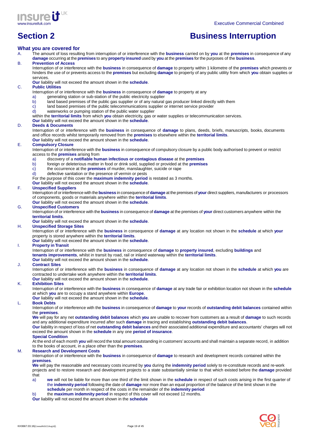



# **Section 2 Business Interruption**

### **What you are covered for**

A. The amount of loss resulting from interruption of or interference with the **business** carried on by **you** at the **premises** in consequence of any **damage** occurring at the **premises** to any **property insured** used by **you** at the **premises** for the purposes of the **business**.

### B. **Prevention of Access**

Interruption of or interference with the **business** in consequence of **damage** to property within 1 kilometre of the **premises** which prevents or hinders the use of or prevents access to the **premises** but excluding **damage** to property of any public utility from which **you** obtain supplies or services.

**Our** liability will not exceed the amount shown in the **schedule**.

#### C. **Public Utilities**

Interruption of or interference with the **business** in consequence of **damage** to property at any

- a) generating station or sub-station of the public electricity supplier
- b) land based premises of the public gas supplier or of any natural gas producer linked directly with them
- c) land based premises of the public telecommunications supplier or internet service provider d) waterworks or pumping station of the public water supplier
- waterworks or pumping station of the public water supplier
- within the **territorial limits** from which **you** obtain electricity, gas or water supplies or telecommunication services.

#### **Our** liability will not exceed the amount shown in the **schedule**.

#### D. **Deeds & Documents**

Interruption of or interference with the **business** in consequence of **damage** to plans, deeds, briefs, manuscripts, books, documents and office records whilst temporarily removed from the **premises** to elsewhere within the **territorial limits**.

**Our** liability will not exceed the amount shown in the **schedule**.

# E. **Compulsory Closure**

Interruption of or interference with the **business** in consequence of compulsory closure by a public body authorised to prevent or restrict access to the **premises** arising from

- a) discovery of a **notifiable human infectious or contagious disease** at the **premises**
- b) foreign or deleterious matter in food or drink sold, supplied or provided at the **premises**
- c) the occurrence at the **premises** of murder, manslaughter, suicide or rape
- d) defective sanitation or the presence of vermin or pests

For the purpose of this cover the **maximum indemnity period** is restated as 3 months.

**Our** liability will not exceed the amount shown in the **schedule**.

#### F. **Unspecified Suppliers**

Interruption of or interference with the **business** in consequence of **damage** at the premises of **your** direct suppliers, manufacturers or processors of components, goods or materials anywhere within the **territorial limits**. **Our** liability will not exceed the amount shown in the **schedule**.

# G. **Unspecified Customers**

Interruption of or interference with the **business** in consequence of **damage** at the premises of **your** direct customers anywhere within the **territorial limits**.

**Our** liability will not exceed the amount shown in the **schedule**.

#### H. **Unspecified Storage Sites**

Interruption of or interference with the **business** in consequence of **damage** at any location not shown in the **schedule** at which **your**  property is stored anywhere within the **territorial limits**.

**Our** liability will not exceed the amount shown in the **schedule**.

#### I. **Property in Transit**

Interruption of or interference with the **business** in consequence of **damage** to **property insured**, excluding **buildings** and **tenants improvements**, whilst in transit by road, rail or inland waterway within the **territorial limits**.

**Our** liability will not exceed the amount shown in the **schedule**.

#### J. **Contract Sites**

Interruption of or interference with the **business** in consequence of **damage** at any location not shown in the **schedule** at which **you** are contracted to undertake work anywhere within the **territorial limits**.

**Our** liability will not exceed the amount shown in the **schedule**.

#### K. **Exhibition Sites**

Interruption of or interference with the **business** in consequence of **damage** at any trade fair or exhibition location not shown in the **schedule** at which **you** are to occupy a stand anywhere within **Europe**.

**Our** liability will not exceed the amount shown in the **schedule**.

#### L. **Book Debts**

Interruption of or interference with the **business** in consequence of **damage** to **your** records of **outstanding debit balances** contained within the **premises**.

**We** will pay for any net **outstanding debit balances** which **you** are unable to recover from customers as a result of **damage** to such records and any additional expenditure incurred after such **damage** in tracing and establishing **outstanding debit balances**.

**Our** liability in respect of loss of net **outstanding debit balances** and their associated additional expenditure and accountants' charges will not exceed the amount shown in the **schedule** in any one **period of insurance**.

#### **Special Condition**

At the end of each month **you** will record the total amount outstanding in customers' accounts and shall maintain a separate record, in addition to the books of account, in a place other than the **premises**.

#### M. **Research and Development Costs**

Interruption of or interference with the **business** in consequence of **damage** to research and development records contained within the **premises**.

**We** will pay the reasonable and necessary costs incurred by **you** during the **indemnity period** solely to re-constitute records and re-work projects and to restore research and development projects to a state substantially similar to that which existed before the **damage** provided that

- a) **we** will not be liable for more than one third of the limit shown in the **schedule** in respect of such costs arising in the first quarter of the **indemnity period** following the date of **damage** nor more than an equal proportion of the balance of the limit shown in the **schedule** per month in respect of the costs in the remainder of the **indemnity period**
- b) the **maximum indemnity period** in respect of this cover will not exceed 12 months.

**Our** liability will not exceed the amount shown in the **schedule** 

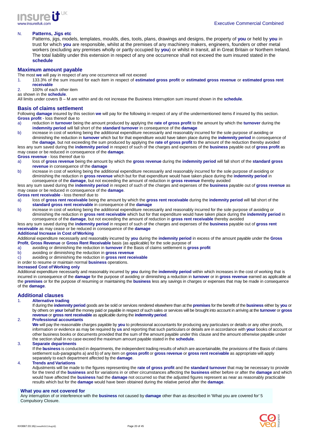

#### N. **Patterns, Jigs etc**

Patterns, jigs, models, templates, moulds, dies, tools, plans, drawings and designs, the property of **you** or held by **you** in trust for which **you** are responsible, whilst at the premises of any machinery makers, engineers, founders or other metal workers (excluding any premises wholly or partly occupied by **you**) or whilst in transit, all in Great Britain or Northern Ireland. The total liability under this extension in respect of any one occurrence shall not exceed the sum insured stated in the **schedule**

#### **Maximum amount payable**

The most **we** will pay in respect of any one occurrence will not exceed

- 1. 133.3% of the sum insured for each item in respect of **estimated gross profit** or **estimated gross revenue** or **estimated gross rent receivable**
- 2. 100% of each other item

as shown in the **schedule**.

All limits under covers B – M are within and do not increase the Business Interruption sum insured shown in the **schedule**.

#### **Basis of claims settlement**

Following **damage** insured by this section **we** will pay for the following in respect of any of the undermentioned items if insured by this section. **Gross profit** - loss thereof due to

- a) reduction in **turnover** being the amount produced by applying the **rate of gross profit** to the amount by which the **turnover** during the **indemnity period** will fall short of the **standard turnover** in consequence of the **damage**
- b) increase in cost of working being the additional expenditure necessarily and reasonably incurred for the sole purpose of avoiding or diminishing the reduction in **turnover** which but for that expenditure would have taken place during the **indemnity period** in consequence of the **damage**, but not exceeding the sum produced by applying the **rate of gross profit** to the amount of the reduction thereby avoided

less any sum saved during the **indemnity period** in respect of such of the charges and expenses of the **business** payable out of **gross profit** as may cease or be reduced in consequence of the **damage**.

## **Gross revenue** - loss thereof due to

- a) loss of **gross revenue** being the amount by which the **gross revenue** during the **indemnity period** will fall short of the **standard gross revenue** in consequence of the **damage**
- b) increase in cost of working being the additional expenditure necessarily and reasonably incurred for the sole purpose of avoiding or diminishing the reduction in **gross revenue** which but for that expenditure would have taken place during the **indemnity period** in consequence of the **damage**, but not exceeding the amount of reduction in **gross revenue** thereby avoided

less any sum saved during the **indemnity period** in respect of such of the charges and expenses of the **business** payable out of **gross revenue** as may cease or be reduced in consequence of the **damage**.

# **Gross rent receivable** - loss thereof due to

- a) loss of **gross rent receivable** being the amount by which the **gross rent receivable** during the **indemnity period** will fall short of the **standard gross rent receivable** in consequence of the **damage**
- b) increase in cost of working being the additional expenditure necessarily and reasonably incurred for the sole purpose of avoiding or diminishing the reduction in **gross rent receivable** which but for that expenditure would have taken place during the **indemnity period** in consequence of the **damage**, but not exceeding the amount of reduction in **gross rent receivable** thereby avoided

#### less any sum saved during the **indemnity period** in respect of such of the charges and expenses of the **business** payable out of **gross rent receivable** as may cease or be reduced in consequence of the **damage**

#### **Additional Increase in Cost of Working**

Additional expenditure necessarily and reasonably incurred by **you** during the **indemnity period** in excess of the amount payable under the **Gross Profit**, **Gross Revenue** or **Gross Rent Receivable** basis (as applicable) for the sole purpose of

- a) avoiding or diminishing the reduction in **turnover** if the Basis of claims settlement is **gross profit**
- b) avoiding or diminishing the reduction in **gross revenue**
- c) avoiding or diminishing the reduction in **gross rent receivable**
- in order to resume or maintain normal **business** operations.

#### **Increased Cost of Working only**

Additional expenditure necessarily and reasonably incurred by **you** during the **indemnity period** within which increases in the cost of working that is incurred in consequence of the **damage** for the purpose of avoiding or diminishing a reduction in **turnover** or in **gross revenue** earned as applicable at the **premises** or for the purpose of resuming or maintaining the **business** less any savings in charges or expenses that may be made in consequence of the **damage**.

### **Additional clauses**

# 1. **Alternative trading**

If during the **indemnity period** goods are be sold or services rendered elsewhere than at the **premises** for the benefit of the **business** either by **you** or by others on **your** behalf the money paid or payable in respect of such sales or services will be brought into account in arriving at the **turnover** or **gross revenue** or **gross rent receivable** as applicable during the **indemnity period**.

#### 2. **Professional accountants**

**We** will pay the reasonable charges payable by **you** to professional accountants for producing any particulars or details or any other proofs, information or evidence as may be required by **us** and reporting that such particulars or details are in accordance with **your** books of account or other business books or documents provided that the sum of the amount payable under this clause and the amount otherwise payable under the section shall in no case exceed the maximum amount payable stated in the **schedule**.

#### 3. **Separate departments**

If the **business** is conducted in departments, the independent trading results of which are ascertainable, the provisions of the Basis of claims settlement sub-paragraphs a) and b) of any item on **gross profit** or **gross revenue** or **gross rent receivable** as appropriate will apply separately to each department affected by the **damage**.

# 4. **Trends and Variations**

Adjustments will be made to the figures representing the **rate of gross profit** and the **standard turnover** that may be necessary to provide for the trend of the **business** and for variations in or other circumstances affecting the **business** either before or after the **damage** and which would have affected the **business** had the **damage** not occurred so that the adjusted figures represent as near as reasonably practicable results which but for the **damage** would have been obtained during the relative period after the **damage**.

#### **What you are not covered for**

Any interruption of or interference with the **business** not caused by **damage** other than as described in 'What you are covered for' 5 Compulsory Closure.

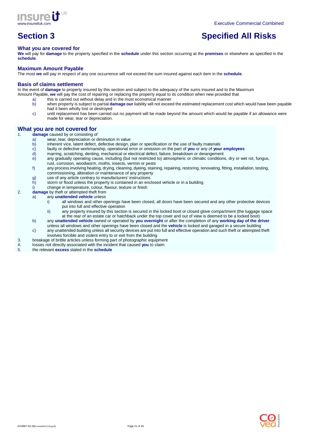

# **Section 3** Specified All Risks

# **What you are covered for**

**We** will pay for **damage** to the property specified in the **schedule** under this section occurring at the **premises** or elsewhere as specified in the **schedule**.

# **Maximum Amount Payable**

The most **we** will pay in respect of any one occurrence will not exceed the sum insured against each item in the **schedule**.

#### **Basis of claims settlement**

In the event of **damage** to property insured by this section and subject to the adequacy of the sums insured and to the Maximum Amount Payable, **we** will pay the cost of repairing or replacing the property equal to its condition when new provided that

- this is carried out without delay and in the most economical manner
- b) when property is subject to partial **damage our** liability will not exceed the estimated replacement cost which would have been payable had it been wholly lost or destroyed
- c) until replacement has been carried out no payment will be made beyond the amount which would be payable if an allowance were made for wear, tear or depreciation.

# **What you are not covered for**

- damage caused by or consisting of
- a) wear, tear, depreciation or diminution in value
	- b) inherent vice, latent defect, defective design, plan or specification or the use of faulty materials
	- c) faulty or defective workmanship, operational error or omission on the part of **you** or any of **your employees**
	- d) marring, scratching, denting, mechanical or electrical defect, failure, breakdown or derangement<br>any gradually operating cause, including (but not restricted to) atmospheric or climatic conditions
	- any gradually operating cause, including (but not restricted to) atmospheric or climatic conditions, dry or wet rot, fungus, rust, corrosion, woodworm, moths, insects, vermin or pests
	- f) any process involving heating, drying, cleaning, dyeing, staining, repairing, restoring, renovating, fitting, installation, testing, commissioning, alteration or maintenance of any property
	- g) use of any article contrary to manufacturers' instructions
	- h) storm or flood unless the property is contained in an enclosed vehicle or in a building
	- i) change in temperature, colour, flavour, texture or finish
- 2. **damage** by theft or attempted theft from
	- a) any **unattended vehicle** unless
		- i) all windows and other openings have been closed, all doors have been secured and any other protective devices put into full and effective operation
		- ii) any property insured by this section is secured in the locked boot or closed glove compartment (the luggage space at the rear of an estate car or hatchback under the top cover and out of view is deemed to be a locked boot)
		- b) any **unattended vehicle** owned or operated by **you overnight** or after the completion of any **working day of the driver**  unless all windows and other openings have been closed and the **vehicle** is locked and garaged in a secure building
			- c) any unattended building unless all security devices are put into full and effective operation and such theft or attempted theft involves forcible and violent entry to or exit from the building
- 3. breakage of brittle articles unless forming part of photographic equipment 4. Inssess not directly associated with the incident that caused you to claim
- 4. losses not directly associated with the incident that caused **you** to claim
- 5. the relevant **excess** stated in the **schedule**

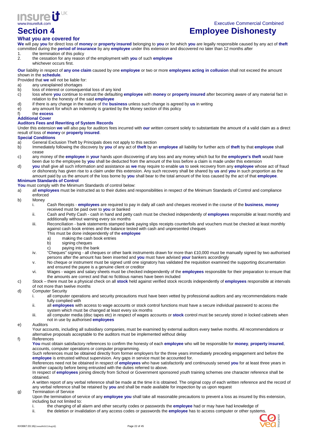

Executive Commercial Combined

# **Section 4 Employee Dishonesty**

# **What you are covered for**

**We** will pay **you** for direct loss of **money** or **property insured** belonging to **you** or for which **you** are legally responsible caused by any act of **theft**  committed during the **period of insurance** by any **employee** under this extension and discovered no later than 12 months after

- 1. the termination of this policy<br>2. the cessation for any reason
- 2. the cessation for any reason of the employment with **you** of such **employee** whichever occurs first.

**Our** liability in respect of **any one claim** caused by one **employee** or two or more **employees acting in collusion** shall not exceed the amount shown in the **schedule**.

Provided that **we** will not be liable for:

- a) any unexplained shortages
- b) loss of interest or consequential loss of any kind
- c) loss where **you** continue to entrust the defaulting **employee** with **money** or **property insured** after becoming aware of any material fact in relation to the honesty of the said **employee**
- d) if there is any change in the nature of the **business** unless such change is agreed by **us** in writing
- e) any amount for which an indemnity is granted by the Money section of this policy

#### f) the **excess Additional Cover**

# **Auditors Fees and Rewriting of System Records**

Under this extension **we** will also pay for auditors fees incurred with **our** written consent solely to substantiate the amount of a valid claim as a direct result of loss of **money** or **property insured**.

#### **Special Conditions**

a) General Exclusion Theft by Principals does not apply to this section

- b) Immediately following the discovery by **you** of any act of **theft** by an **employee** all liability for further acts of **theft** by that **employee** shall cease
- c) any money of the **employee** in **your** hands upon discovering of any loss and any money which but for the **employee's theft** would have been due to the employee by **you** shall be deducted from the amount of the loss before a claim is made under this extension
- d) **you** shall give all such information and assistance as **we** may require to enable **us** to seek recovery from any **employee** whose act of fraud or dishonesty has given rise to a claim under this extension. Any such recovery shall be shared by **us** and **you** in such proportion as the amount paid by us the amount of the loss borne by **you** shall bear to the total amount of the loss caused by the act of that **employee**.

### **Minimum Standards of Control**

**You** must comply with the Minimum Standards of control below:

- a) all **employees** must be instructed as to their duties and responsibilities in respect of the Minimum Standards of Control and compliance enforced
- b) Money
	- i. Cash Receipts **employees** are required to pay in daily all cash and cheques received in the course of the **business**, **money** received must be paid over to **you** or banked
	- ii. Cash and Petty Cash cash in hand and petty cash must be checked independently of **employees** responsible at least monthly and additionally without warning every six months
	- iii. Reconciliation bank statements stamped bank paying slips receipts counterfoils and vouchers must be checked at least monthly against cash book entries and the balance tested with cash and unpresented cheques
		- This must be done independently of the **employee**
		- a) making the cash book entries<br>b) signing cheques signing cheques
		- c) paying into the bank
	- iv. "Cheques" signing all cheques or other bank instruments drawn for more than £10,000 must be manually signed by two authorised persons after the amount has been inserted and **you** must have advised **your** bankers accordingly
	- v. No cheque or instrument must be signed until one signatory has validated the requisition examined the supporting documentation and ensured the payee is a genuine client or creditor
	- vi. Wages wages and salary sheets must be checked independently of the **employees** responsible for their preparation to ensure that the amounts are correct and that no fictitious names have been included
- c) Stock there must be a physical check on all **stock** held against verified stock records independently of **employees** responsible at intervals of not more than twelve months
- d) Computer Security
	- i. all computer operations and security precautions must have been vetted by professional auditors and any recommendations made fully complied with
	- ii. all **employees** with access to wage accounts or stock control functions must have a secure individual password to access the system which must be changed at least every six months
	- iii. all computer media (disc tapes etc) in respect of wages accounts or **stock** control must be securely stored in locked cabinets when not in use by authorised **employees**
- e) Auditors

Your accounts, including all subsidiary companies, must be examined by external auditors every twelve months. All recommendations or alternative proposals acceptable to the auditors must be implemented without delay

f) References

**You** must obtain satisfactory references to confirm the honesty of each **employee** who will be responsible for **money**, **property insured**, accounts, computer operations or computer programming.

Such references must be obtained directly from former employers for the three years immediately preceding engagement and before the **employee** is entrusted without supervision. Any gaps in service must be accounted for.

References need not be obtained in respect of **employees** who have satisfactorily and continuously served **you** for at least three years in another capacity before being entrusted with the duties referred to above.

In respect of **employees** joining directly from School or Government sponsored youth training schemes one character reference shall be obtained.

A written report of any verbal reference shall be made at the time it is obtained. The original copy of each written reference and the record of any verbal reference shall be retained by **you** and shall be made available for inspection by us upon request g) Termination of Service

- Upon the termination of service of any **employee you** shall take all reasonable precautions to prevent a loss as insured by this extension, including but not limited to:
	- i. the changing of all alarm and other security codes or passwords the **employee** had or may have had knowledge of
	- ii. the deletion or invalidation of any access codes or passwords the **employee** has to access computer or other systems.

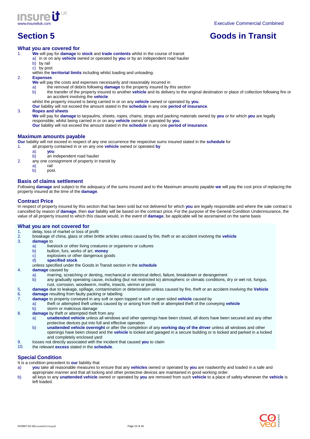

# **Section 5** Goods in Transit

### **What you are covered for**

1. **We** will pay for **damage** to **stock** and **trade contents** whilst in the course of transit

- a) in or on any **vehicle** owned or operated by **you** or by an independent road haulier
	- b) by rail
		- c) by post
		- within the **territorial limits** including whilst loading and unloading.
- 2. **Expenses**
	- **We** will pay the costs and expenses necessarily and reasonably incurred in
	- the removal of debris following **damage** to the property insured by this section
	- b) the transfer of the property insured to another **vehicle** and its delivery to the original destination or place of collection following fire or an accident involving the **vehicle**
	- whilst the property insured is being carried in or on any **vehicle** owned or operated by **you**.
	- **Our** liability will not exceed the amount stated in the **schedule** in any one **period of insurance**.

#### 3. **Ropes and sheets**

**We** will pay for **damage** to tarpaulins, sheets, ropes, chains, straps and packing materials owned by **you** or for which **you** are legally responsible, whilst being carried in or on any **vehicle** owned or operated by **you**.

**Our** liability will not exceed the amount stated in the **schedule** in any one **period of insurance**.

#### **Maximum amounts payable**

**Our** liability will not exceed in respect of any one occurrence the respective sums insured stated in the **schedule** for

- 1. all property contained in or on any one **vehicle** owned or operated **by**
- a) **you**
	- b) an independent road haulier
- 2. any one consignment of property in transit by
	- a) rail
	- b) post.

# **Basis of claims settlement**

Following **damage** and subject to the adequacy of the sums insured and to the Maximum amounts payable **we** will pay the cost price of replacing the property insured at the time of the **damage**.

#### **Contract Price**

In respect of property insured by this section that has been sold but not delivered for which **you** are legally responsible and where the sale contract is cancelled by reason of **damage**, then **our** liability will be based on the contract price. For the purpose of the General Condition Underinsurance, the value of all property insured to which this clause would, in the event of **damage**, be applicable will be ascertained on the same basis

### **What you are not covered for**

- 1. delay, loss of market or loss of profit<br>2. breakage of china, glass or other bri
	- 2. breakage of china, glass or other brittle articles unless caused by fire, theft or an accident involving the **vehicle**
- 3. **damage** to
	- a) livestock or other living creatures or organisms or cultures
	- b) bullion, furs, works of art, **money**
	- c) explosives or other dangerous goods<br>d) **specified stock**
	- d) **specified stock**
	- unless specified under the Goods in Transit section in the **schedule**

#### 4. **damage** caused by

- a) marring, scratching or denting, mechanical or electrical defect, failure, breakdown or derangement
- b) any gradually operating cause, including (but not restricted to) atmospheric or climatic conditions, dry or wet rot, fungus,
- rust, corrosion, woodworm, moths, insects, vermin or pests
- 5. **damage** due to leakage, spillage, contamination or deterioration unless caused by fire, theft or an accident involving the **Vehicle**
- 6. **damage** resulting from faulty packing or labelling
- 7. **damage** to property conveyed in any soft or open topped or soft or open sided **vehicle** caused by
	- a) theft or attempted theft unless caused by or arising from theft or attempted theft of the conveying **vehicle**
- b) storm or malicious damage
- 8. **damage** by theft or attempted theft from any
	- a) **unattended vehicle** unless all windows and other openings have been closed, all doors have been secured and any other protective devices put into full and effective operation
		- b) **unattended vehicle overnight** or after the completion of any **working day of the driver** unless all windows and other openings have been closed and the **vehicle** is locked and garaged in a secure building or is locked and parked in a locked and completely enclosed yard
- 9. losses not directly associated with the incident that caused **you** to claim
- 10. the relevant **excess** stated in the **schedule**.

# **Special Condition**

It is a condition precedent to **our** liability that

- a) **you** take all reasonable measures to ensure that any **vehicles** owned or operated by **you** are roadworthy and loaded in a safe and
- appropriate manner and that all locking and other protective devices are maintained in good working order.
- b) all keys to any **unattended vehicle** owned or operated by **you** are removed from such **vehicle** to a place of safety whenever the **vehicle** is left loaded.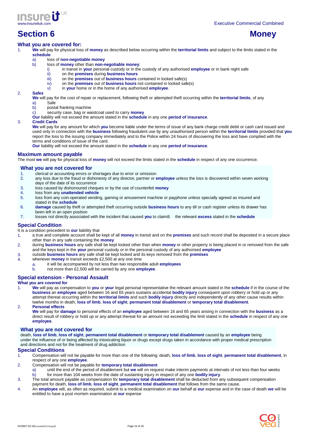

# **Section 6 Money Access 1999 Money Access 1999 Money Access 1999 Money Access 1999**

### **What you are covered for:**

- 1. **We** will pay for physical loss of **money** as described below occurring within the **territorial limits** and subject to the limits stated in the **schedule**
	- a) loss of **non-negotiable money**
		- b) loss of **money** other than **non-negotiable money**:
			- i) in transit in **your** personal custody or in the custody of any authorised **employee** or in bank night safe
			-
			- ii) on the **premises** during **business hours** iii) on the **premises** out of **business hours** contained in locked safe(s) iv) on the **premises** out of **business hours** not contained in locked safe
			- on the **premises** out of **business hours** not contained in locked safe(s)
			- v) in **your** home or in the home of any authorised **employee**.

#### 2. **Safes**

**We** will pay for the cost of repair or replacement, following theft or attempted theft occurring within the **territorial limits**, of any a) Safe

- b) postal franking machine
- c) security case, bag or waistcoat used to carry **money**
- **Our** liability will not exceed the amount stated in the **schedule** in any one **period of insurance**.

#### 3. **Credit Cards**

**We** will pay for any amount for which **you** become liable under the terms of issue of any bank charge credit debit or cash card issued and used only in connection with the **business** following fraudulent use by any unauthorised person within the **territorial limits** provided that **you** report the loss to the issuing company immediately and to the Police within 24 hours of discovering the loss and have complied with the terms and conditions of issue of the card.

**Our** liability will not exceed the amount stated in the **schedule** in any one **period of insurance**.

#### **Maximum amount payable**

The most **we** will pay for physical loss of **money** will not exceed the limits stated in the **schedule** in respect of any one occurrence.

# **What you are not covered for**

- 1. clerical or accounting errors or shortages due to error or omission
- 2. any loss due to the fraud or dishonesty of any director, partner or **employee** unless the loss is discovered within seven working days of the date of its occurrence
- 3. loss caused by dishonoured cheques or by the use of counterfeit **money**
- 4. loss from any **unattended vehicle**
- 5. loss from any coin-operated vending, gaming or amusement machine or payphone unless specially agreed as insured and stated in the **schedule**
- 6. **damage** caused by theft or attempted theft occurring outside **business hours** to any till or cash register unless its drawer has been left in an open position
- 7. losses not directly associated with the incident that caused **you** to claim8. the relevant **excess** stated in the **schedule**

### **Special Condition**

It is a condition precedent to **our** liability that

- 1. a true and complete account shall be kept of all **money** in transit and on the **premises** and such record shall be deposited in a secure place other than in any safe containing the **money**
- 2. during **business hours** any safe shall be kept locked other than when **money** or other property is being placed in or removed from the safe and the keys kept in the **your** personal custody or in the personal custody of any authorised **employee**
- 3. outside **business hours** any safe shall be kept locked and its keys removed from the **premises**
- 4. whenever **money** in transit exceeds £2,500 at any one time
	- a. it will be accompanied by not less than two responsible adult **employees**
	- b. not more than £2,500 will be carried by any one **employee**.

### **Special extension - Personal Assault**

#### **What you are covered for**

1. **We** will pay as compensation to **you** or **your** legal personal representative the relevant amount stated in the **schedule** if in the course of the **business** an **employee** aged between 16 and 65 years sustains accidental **bodily injury** consequent upon robbery or hold up or any attempt thereat occurring within the **territorial limits** and such **bodily injury** directly and independently of any other cause results within twelve months in death, **loss of limb**, **loss of sight**, **permanent total disablement** or **temporary total disablement**.

2. **Personal effects**

**We** will pay for **damage** to personal effects of an **employee** aged between 16 and 65 years arising in connection with the **business** as a direct result of robbery or hold up or any attempt thereat for an amount not exceeding the limit stated in the **schedule** in respect of any one **employee**.

#### **What you are not covered for**

death, **loss of limb**, **loss of sight**, **permanent total disablement** or **temporary total disablement** caused by an **employee** being under the influence of or being affected by intoxicating liquor or drugs except drugs taken in accordance with proper medical prescription and directions and not for the treatment of drug addiction

#### **Special Conditions**

- 1. Compensation will not be payable for more than one of the following: death, **loss of limb**, **loss of sight**, **permanent total disablement**, in respect of any one **employee**.
- 2. Compensation will not be payable for **temporary total disablement**
- a) until the end of the period of disablement but **we** will on request make interim payments at intervals of not less than four weeks b) for more than 104 weeks from the date of sustaining injury in respect of any one **bodily injury**.
- 3. The total amount payable as compensation for **temporary total disablement** shall be deducted from any subsequent compensation payment for death, **loss of limb**, **loss of sight**, **permanent total disablement** that follows from the same cause.
- 4. An **employee** will, as often as required, submit to a medical examination on **our** behalf at **our** expense and in the case of death **we** will be entitled to have a post mortem examination at **our** expense

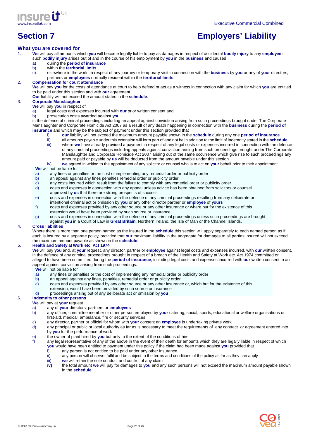

# **Section 7 Employers' Liability**

### **What you are covered for**

- 1. **We** will pay all amounts which **you** will become legally liable to pay as damages in respect of accidental **bodily injury** to any **employee** if such **bodily injury** arises out of and in the course of his employment by **you** in the **business** and caused
	- a) during the **period of insurance**
		- b) within the **territorial limits**
		- c) elsewhere in the world in respect of any journey or temporary visit in connection with the **business** by **you** or any of **your** directors, partners or **employees** normally resident within the **territorial limits**

# 2. **Compensation for court attendance**

**We** will pay **you** for the costs of attendance at court to help defend or act as a witness in connection with any claim for which **you** are entitled to be paid under this section and with **our** agreement.

**Our** liability will not exceed the amount stated in the **schedule**.

# 3. **Corporate Manslaughter**

- **We** will pay **you** in respect of
	- a) legal costs and expenses incurred with **our** prior written consent and
	- b) prosecution costs awarded against **you**

in the defence of criminal proceedings including an appeal against conviction arising from such proceedings brought under The Corporate Manslaughter and Corporate Homicide Act 2007 as a result of any death happening in connection with the **business** during the **period of insurance** and which may be the subject of payment under this section provided that

- i) **our** liability will not exceed the maximum amount payable shown in the **schedule** during any one **period of insurance**
- ii) all amounts payable under this extension will form part of and not be in addition to the limit of indemnity stated in the **schedule**<br>iii) where we have already provided a payment in respect of any legal costs or expens where we have already provided a payment in respect of any legal costs or expenses incurred in connection with the defence of any criminal proceedings including appeals against conviction arising from such proceedings brought under The Corporate Manslaughter and Corporate Homicide Act 2007 arising out of the same occurrence which give rise to such proceedings any
- amount paid or payable by **us** will be deducted from the amount payable under this section iv) **we** agreed in writing to the appointment of any solicitor or counsel who is to act on **your** behalf prior to their appointment.

#### **We** will not be liable for

- a) any fines or penalties or the cost of implementing any remedial order or publicity order
- b) an appeal against any fines penalties remedial order or publicity order
- c) any costs incurred which result from the failure to comply with any remedial order or publicity order
- d) costs and expenses in connection with any appeal unless advice has been obtained from solicitors or counsel
- approved by **us** that there are strong prospects of success
- e) costs and expenses in connection with the defence of any criminal proceedings resulting from any deliberate or intentional criminal act or omission by **you** or any other director partner or **employee** of **yours**
- f) costs and expenses provided by any other source or any other insurance or where but for the existence of this
- extension would have been provided by such source or insurance
- g) costs and expenses in connection with the defence of any criminal proceedings unless such proceedings are brought against **you** in a Court of Law in **Great Britain**, Northern Ireland, the Isle of Man or the Channel Islands.

#### 4. **Cross liabilities**

Where there is more than one person named as the Insured in the **schedule** this section will apply separately to each named person as if each is insured by a separate policy, provided that **our** maximum liability in the aggregate for damages to all parties insured will not exceed the maximum amount payable as shown in the **schedule**.

#### 5. **Health and Safety at Work etc. Act 1974**

**We** will pay **you** and, at **your** request, any director, partner or **employee** against legal costs and expenses incurred, with **our** written consent, in the defence of any criminal proceedings brought in respect of a breach of the Health and Safety at Work etc. Act 1974 committed or alleged to have been committed during the **period of insurance**, including legal costs and expenses incurred with **our** written consent in an appeal against conviction arising from such proceedings.

# **We** will not be liable for<br>a) any fines or ner

- any fines or penalties or the cost of implementing any remedial order or publicity order
- b) an appeal against any fines, penalties, remedial order or publicity order
- c) costs and expenses provided by any other source or any other insurance or, which but for the existence of this extension, would have been provided by such source or insurance
- d) proceedings arising out of any deliberate act or omission by **you**

## 6. **Indemnity to other persons**

#### **We** will pay at **your** request

- a) any of **your** directors, partners or **employees**
- 
- b) any officer, committee member or other person employed by **your** catering, social, sports, educational or welfare organisations or first-aid, medical, ambulance, fire or security services
- c) any director, partner or official for whom with **your** consent an **employee** is undertaking private work
- d) any principal or public or local authority as far as is necessary to meet the requirements of any contract or agreement entered into by **you** for the performance of work
- e) the owner of plant hired by **you** but only to the extent of the conditions of hire
- f) any legal representative of any of the above in the event of their death for amounts which they are legally liable in respect of which **you** would have been entitled to payment under this policy if the claim had been made against **you** provided that
	-
	- $\dot{i}$  any person is not entitled to be paid under any other insurance  $\dot{i}$  any person will observe, fulfil and be subject to the terms and co any person will observe, fulfil and be subject to the terms and conditions of the policy as far as they can apply
	- iii) **we** will retain the sole conduct and control of any claim
	- **iv)** the total amount **we** will pay for damages to **you** and any such persons will not exceed the maximum amount payable shown in the **schedule**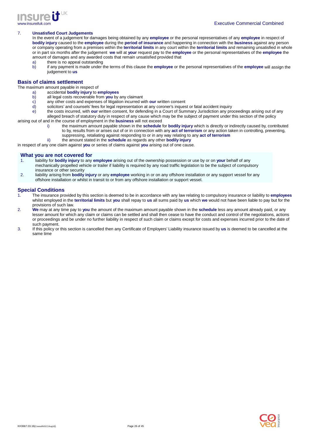

#### 7. **Unsatisfied Court Judgements**

In the event of a judgement for damages being obtained by any **employee** or the personal representatives of any **employee** in respect of **bodily injury** caused to the **employee** during the **period of insurance** and happening in connection with the **business** against any person or company operating from a premises within the **territorial limits** in any court within the **territorial limits** and remaining unsatisfied in whole or in part six months after the judgement **we** will at **your** request pay to the **employee** or the personal representatives of the **employee** the amount of damages and any awarded costs that remain unsatisfied provided that

- a) there is no appeal outstanding
- b) if any payment is made under the terms of this clause the **employee** or the personal representatives of the **employee** will assign the judgement to **us**

# **Basis of claims settlement**

The maximum amount payable in respect of

- a) accidental **bodily injury** to **employees**
- b) all legal costs recoverable from **you** by any claimant
- c) any other costs and expenses of litigation incurred with **our** written consent
- d) solicitors' and counsels' fees for legal representation at any coroner's inquest or fatal accident inquiry<br>e) the costs incurred, with our written consent, for defending in a Court of Summary Jurisdiction any pro
- the costs incurred, with our written consent, for defending in a Court of Summary Jurisdiction any proceedings arising out of any alleged breach of statutory duty in respect of any cause which may be the subject of payment under this section of the policy

arising out of and in the course of employment in the **business** will not exceed

- i) the maximum amount payable shown in the **schedule** for **bodily injury** which is directly or indirectly caused by, contributed to by, results from or arises out of or in connection with any **act of terrorism** or any action taken in controlling, preventing, suppressing, retaliating against responding to or in any way relating to any **act of terrorism**
- ii) the amount stated in the **schedule** as regards any other **bodily injury**

in respect of any one claim against **you** or series of claims against **you** arising out of one cause.

#### **What you are not covered for**

- 1. liability for **bodily injury** to any **employee** arising out of the ownership possession or use by or on **your** behalf of any mechanically propelled vehicle or trailer if liability is required by any road traffic legislation to be the subject of compulsory insurance or other security
- 2. liability arising from **bodily injury** or any **employee** working in or on any offshore installation or any support vessel for any offshore installation or whilst in transit to or from any offshore installation or support vessel.

### **Special Conditions**

- 1. The insurance provided by this section is deemed to be in accordance with any law relating to compulsory insurance or liability to **employees**  whilst employed in the **territorial limits** but **you** shall repay to **us** all sums paid by **us** which **we** would not have been liable to pay but for the provisions of such law.
- 2. **We** may at any time pay to **you** the amount of the maximum amount payable shown in the **schedule** less any amount already paid, or any lesser amount for which any claim or claims can be settled and shall then cease to have the conduct and control of the negotiations, actions or proceedings and be under no further liability in respect of such claim or claims except for costs and expenses incurred prior to the date of such payment.
- 3. If this policy or this section is cancelled then any Certificate of Employers' Liability insurance issued by **us** is deemed to be cancelled at the same time

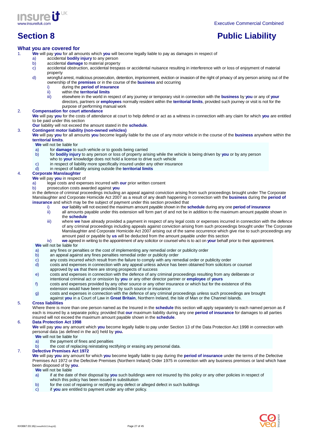

# **Section 8 Public Liability Public Liability**

# **What you are covered for**

1. **We** will pay **you** for all amounts which **you** will become legally liable to pay as damages in respect of

- a) accidental **bodily injury** to any person
- b) accidental **damage** to material property
- c) accidental obstruction, accidental trespass or accidental nuisance resulting in interference with or loss of enjoyment of material property
- d) wrongful arrest, malicious prosecution, detention, imprisonment, eviction or invasion of the right of privacy of any person arising out of the ownership of the **premises** or in the course of the **business** and occurring
	- i) during the **period of insurance**
	- ii) within the **territorial limits**<br>iii) elsewhere in the world in re
	- iii) elsewhere in the world in respect of any journey or temporary visit in connection with the **business** by **you** or any of **your** directors, partners or **employees** normally resident within the **territorial limits**, provided such journey or visit is not for the purpose of performing manual work

#### 2. **Compensation for court attendance**

**We** will pay **you** for the costs of attendance at court to help defend or act as a witness in connection with any claim for which **you** are entitled to be paid under this section

**Our** liability will not exceed the amount stated in the **schedule**.

#### 3. **Contingent motor liability (non-owned vehicles)**

**We** will pay **you** for all amounts **you** become legally liable for the use of any motor vehicle in the course of the **business** anywhere within the **territorial limits**.

# **We** will not be liable for<br>a) for **damage** to s

- for **damage** to such vehicle or to goods being carried
- b) for **bodily injury** to any person or loss of property arising while the vehicle is being driven by **you** or by any person who to **your** knowledge does not hold a license to drive such vehicle
	-
- c) in respect of liability more specifically insured under any other insurance<br>d) in respect of liability arising outside the **territorial limits** d) in respect of liability arising outside the **territorial limits**

#### 4. **Corporate Manslaughter**

# **We** will pay **you** in respect of

- a) legal costs and expenses incurred with **our** prior written consent
- b) prosecution costs awarded against **you**

in the defence of criminal proceedings including an appeal against conviction arising from such proceedings brought under The Corporate Manslaughter and Corporate Homicide Act 2007 as a result of any death happening in connection with the **business** during the **period of insurance** and which may be the subject of payment under this section provided that

- i) **our** liability will not exceed the maximum amount payable shown in the **schedule** during any one **period of insurance**
- ii) all amounts payable under this extension will form part of and not be in addition to the maximum amount payable shown in the **schedule**
- iii) where **we** have already provided a payment in respect of any legal costs or expenses incurred in connection with the defence of any criminal proceedings including appeals against conviction arising from such proceedings brought under The Corporate Manslaughter and Corporate Homicide Act 2007 arising out of the same occurrence which give rise to such proceedings any amount paid or payable by **us** will be deducted from the amount payable under this section

iv) **we** agreed in writing to the appointment of any solicitor or counsel who is to act on **your** behalf prior to their appointment.

# **We** will not be liable for

- a) any fines or penalties or the cost of implementing any remedial order or publicity order<br>b) an appeal against any fines penalties remedial order or publicity order
- an appeal against any fines penalties remedial order or publicity order
- c) any costs incurred which result from the failure to comply with any remedial order or publicity order d) costs and expenses in connection with any appeal unless advice has been obtained from solicitors
- costs and expenses in connection with any appeal unless advice has been obtained from solicitors or counsel
- approved by **us** that there are strong prospects of success
- e) costs and expenses in connection with the defence of any criminal proceedings resulting from any deliberate or
- intentional criminal act or omission by **you** or any other director partner or **employee** of **yours**
- f) costs and expenses provided by any other source or any other insurance or which but for the existence of this extension would have been provided by such source or insurance
- g) costs and expenses in connection with the defence of any criminal proceedings unless such proceedings are brought against **you** in a Court of Law in **Great Britain**, Northern Ireland, the Isle of Man or the Channel Islands.

### 5. **Cross liabilities**

Where there is more than one person named as the Insured in the **schedule** this section will apply separately to each named person as if each is insured by a separate policy, provided that **our** maximum liability during any one **period of insurance** for damages to all parties insured will not exceed the maximum amount payable shown in the **schedule**.

### 6. **Data Protection Act 1998**

**We** will pay **you** any amount which **you** become legally liable to pay under Section 13 of the Data Protection Act 1998 in connection with personal data (as defined in the act) held by **you.**

- **We** will not be liable for
- a) the payment of fines and penalties
- b) the cost of replacing reinstating rectifying or erasing any personal data.

### 7. **Defective Premises Act 1972**

**We** will pay **you** any amount for which **you** become legally liable to pay during the **period of insurance** under the terms of the Defective Premises Act 1972 or the Defective Premises (Northern Ireland) Order 1975 in connection with any business premises or land which have been disposed of by **you**.

#### **We** will not be liable

- a) if at the date of their disposal by **you** such buildings were not insured by this policy or any other policies in respect of which this policy has been issued in substitution
- b) for the cost of repairing or rectifying any defect or alleged defect in such buildings
- c) if **you** are entitled to payment under any other policy.

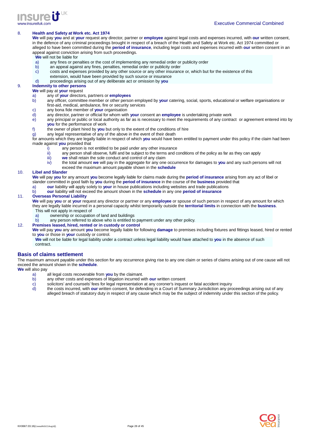

#### 8. **Health and Safety at Work etc. Act 1974**

**We** will pay **you** and at **your** request any director, partner or **employee** against legal costs and expenses incurred, with **our** written consent, in the defence of any criminal proceedings brought in respect of a breach of the Health and Safety at Work etc. Act 1974 committed or alleged to have been committed during the **period of insurance**, including legal costs and expenses incurred with **our** written consent in an appeal against conviction arising from such proceedings.

- **We** will not be liable for
- a) any fines or penalties or the cost of implementing any remedial order or publicity order
- b) an appeal against any fines, penalties, remedial order or publicity order
- c) costs and expenses provided by any other source or any other insurance or, which but for the existence of this extension, would have been provided by such source or insurance
- d) proceedings arising out of any deliberate act or omission by **you**

#### 9. **Indemnity to other persons**

**We** will pay at **your** request

- a) any of **your** directors, partners or **employees**
- b) any officer, committee member or other person employed by **your** catering, social, sports, educational or welfare organisations or first-aid, medical, ambulance, fire or security services
- c) any bona fide member of **your** organisation<br>d) any director partner or official for whom with
- d) any director, partner or official for whom with **your** consent an **employee** is undertaking private work
- e) any principal or public or local authority as far as is necessary to meet the requirements of any contract or agreement entered into by **you** for the performance of work
- f) the owner of plant hired by **you** but only to the extent of the conditions of hire
- g) any legal representative of any of the above in the event of their death

for amounts which they are legally liable in respect of which **you** would have been entitled to payment under this policy if the claim had been made against **you** provided that

- i) any person is not entitled to be paid under any other insurance
- ii) any person shall observe, fulfil and be subject to the terms and conditions of the policy as far as they can apply<br>iii) we shall retain the sole conduct and control of any claim
- iii) we shall retain the sole conduct and control of any claim<br>iv) the total amount we will pay in the aggregate for any one
- the total amount we will pay in the aggregate for any one occurrence for damages to you and any such persons will not
- exceed the maximum amount payable shown in the **schedule**

#### 10. **Libel and Slander**

**We** will pay **you** for any amount **you** become legally liable for claims made during the **period of insurance** arising from any act of libel or slander committed in good faith by **you** during the **period of insurance** in the course of the **business** provided that

- a) **our** liability will apply solely to **your** in house publications including websites and trade publications
- b) **our** liability will not exceed the amount shown in the **schedule** in any one **period of insurance**

#### 11. **Overseas Personal Liability**

**We** will pay **you** or at **your** request any director or partner or any **employee** or spouse of such person in respect of any amount for which they are legally liable incurred in a personal capacity whilst temporarily outside the **territorial limits** in connection with the **business**.

- This will not apply in respect of
- a) ownership or occupation of land and buildings<br>b) any person referred to above who is entitled to
- any person referred to above who is entitled to payment under any other policy.
- 12. **Premises leased, hired, rented or in custody or control**

**We** will pay **you** any amount **you** become legally liable for following **damage** to premises including fixtures and fittings leased, hired or rented to **you** or those in **your** custody or control.

**We** will not be liable for legal liability under a contract unless legal liability would have attached to **you** in the absence of such contract.

#### **Basis of claims settlement**

The maximum amount payable under this section for any occurrence giving rise to any one claim or series of claims arising out of one cause will not exceed the amount shown in the **schedule**.

**We** will also pay

- a) all legal costs recoverable from **you** by the claimant.
- b) any other costs and expenses of litigation incurred with **our** written consent
- 
- c) solicitors' and counsels' fees for legal representation at any coroner's inquest or fatal accident inquiry<br>d) the costs incurred, with our written consent, for defending in a Court of Summary Jurisdiction any pro d) the costs incurred, with **our** written consent, for defending in a Court of Summary Jurisdiction any proceedings arising out of any alleged breach of statutory duty in respect of any cause which may be the subject of indemnity under this section of the policy.

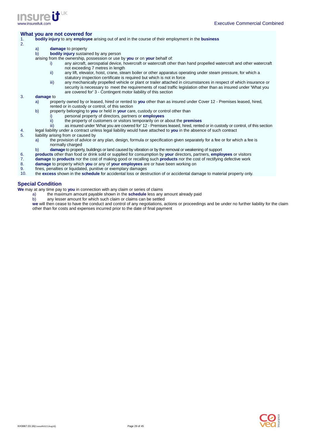

#### **What you are not covered for**

- 1. **bodily injury** to any **employee** arising out of and in the course of their employment in the **business**
- 2.

#### a) **damage** to property

b) **bodily injury** sustained by any person

arising from the ownership, possession or use by **you** or on **your** behalf of:

- i) any aircraft, aerospatial device, hovercraft or watercraft other than hand propelled watercraft and other watercraft not exceeding 7 metres in length
- ii) any lift, elevator, hoist, crane, steam boiler or other apparatus operating under steam pressure, for which a statutory inspection certificate is required but which is not in force
- iii) any mechanically propelled vehicle or plant or trailer attached in circumstances in respect of which insurance or security is necessary to meet the requirements of road traffic legislation other than as insured under 'What you are covered for' 3 - Contingent motor liability of this section

#### 3. **damage** to

- a) property owned by or leased, hired or rented to **you** other than as insured under Cover 12 Premises leased, hired, rented or in custody or control, of this section
- b) property belonging to **you** or held in **your** care, custody or control other than i) personal property of directors, partners or **employees** 
	- i) personal property of directors, partners or **employees**
	- ii) the property of customers or visitors temporarily on or about the **premises**
- iii) as insured under 'What you are covered for' 12 Premises leased, hired, rented or in custody or control, of this section
- 4. legal liability under a contract unless legal liability would have attached to **you** in the absence of such contract
- 5. liability arising from or caused by
	- a) the provision of advice or any plan, design, formula or specification given separately for a fee or for which a fee is normally charged
	- b) **damage** to property, buildings or land caused by vibration or by the removal or weakening of support
- 6. **products** other than food or drink sold or supplied for consumption by **your** directors, partners, **employees** or visitors
- 7. **damage** to **products** nor the cost of making good or recalling such **products** nor the cost of rectifying defective work
- 8. **damage** to property which **you** or any of **your employees** are or have been working on
- fines, penalties or liquidated, punitive or exemplary damages
- 10. the **excess** shown in the **schedule** for accidental loss or destruction of or accidental damage to material property only.

#### **Special Condition**

**We** may at any time pay to **you** in connection with any claim or series of claims

- a) the maximum amount payable shown in the **schedule** less any amount already paid
- b) any lesser amount for which such claim or claims can be settled

**we** will then cease to have the conduct and control of any negotiations, actions or proceedings and be under no further liability for the claim other than for costs and expenses incurred prior to the date of final payment

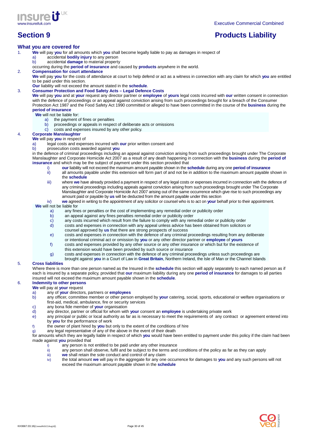

# **Section 9 Products Liability Products Liability**

# **What you are covered for**

- 1. **We** will pay **you** for all amounts which **you** shall become legally liable to pay as damages in respect of
	- a) accidental **bodily injury** to any person
		- b) accidental **damage** to material property
		- occurring during the **period of insurance** and caused by **products** anywhere in the world.

#### 2. **Compensation for court attendance**

- **We** will pay **you** for the costs of attendance at court to help defend or act as a witness in connection with any claim for which **you** are entitled to be paid under this section.
- **Our** liability will not exceed the amount stated in the **schedule**.

#### 3. **Consumer Protection and Food Safety Acts – Legal Defence Costs**

**We** will pay **you** and at **your** request any director partner or **employee** of **yours** legal costs incurred with **our** written consent in connection with the defence of proceedings or an appeal against conviction arising from such proceedings brought for a breach of the Consumer Protection Act 1987 and the Food Safety Act 1990 committed or alleged to have been committed in the course of the **business** during the **period of insurance** 

#### **We** will not be liable for:

- a) the payment of fines or penalties
- b) proceedings or appeals in respect of deliberate acts or omissions
- c) costs and expenses insured by any other policy.

# 4. **Corporate Manslaughter**

#### **We** will pay **you** in respect of

- a) legal costs and expenses incurred with **our** prior written consent and
- b) prosecution costs awarded against **you**

in the defence of criminal proceedings including an appeal against conviction arising from such proceedings brought under The Corporate Manslaughter and Corporate Homicide Act 2007 as a result of any death happening in connection with the **business** during the **period of insurance** and which may be the subject of payment under this section provided that

- i) **our** liability will not exceed the maximum amount payable shown in the **schedule** during any one **period of insurance**
- ii) all amounts payable under this extension will form part of and not be in addition to the maximum amount payable shown in the **schedule**
- iii) where **we** have already provided a payment in respect of any legal costs or expenses incurred in connection with the defence of any criminal proceedings including appeals against conviction arising from such proceedings brought under The Corporate Manslaughter and Corporate Homicide Act 2007 arising out of the same occurrence which give rise to such proceedings any amount paid or payable by **us** will be deducted from the amount payable under this section
- iv) **we** agreed in writing to the appointment of any solicitor or counsel who is to act on **your** behalf prior to their appointment.

#### **We** will not be liable for

- a) any fines or penalties or the cost of implementing any remedial order or publicity order
- b) an appeal against any fines penalties remedial order or publicity order
- c) any costs incurred which result from the failure to comply with any remedial order or publicity order d) costs and expenses in connection with any appeal unless advice has been obtained from solicitors
- costs and expenses in connection with any appeal unless advice has been obtained from solicitors or
- counsel approved by **us** that there are strong prospects of success
- e) costs and expenses in connection with the defence of any criminal proceedings resulting from any deliberate or intentional criminal act or omission by **you** or any other director partner or **employee** of **yours**
- f) costs and expenses provided by any other source or any other insurance or which but for the existence of this extension would have been provided by such source or insurance
- g) costs and expenses in connection with the defence of any criminal proceedings unless such proceedings are
	- brought against **you** in a Court of Law in **Great Britain**, Northern Ireland, the Isle of Man or the Channel Islands

#### 5. **Cross liabilities**

Where there is more than one person named as the Insured in the **schedule** this section will apply separately to each named person as if each is insured by a separate policy, provided that **our** maximum liability during any one **period of insurance** for damages to all parties insured will not exceed the maximum amount payable shown in the **schedule**.

# 6. **Indemnity to other persons**

- **We** will pay at **your** request
	- a) any of **your** directors, partners or **employees**
	- b) any officer, committee member or other person employed by **your** catering, social, sports, educational or welfare organisations or first-aid, medical, ambulance, fire or security services
	- c) any bona fide member of **your** organisation
	- d) any director, partner or official for whom with **your** consent an **employee** is undertaking private work
	- any principal or public or local authority as far as is necessary to meet the requirements of any contract or agreement entered into by **you** for the performance of work
	- f) the owner of plant hired by **you** but only to the extent of the conditions of hire
	- any legal representative of any of the above in the event of their death

for amounts which they are legally liable in respect of which **you** would have been entitled to payment under this policy if the claim had been made against **you** provided that

- $\overrightarrow{a}$  any person is not entitled to be paid under any other insurance<br>ii) any person shall observe, fulfil and be subject to the terms and
- any person shall observe, fulfil and be subject to the terms and conditions of the policy as far as they can apply
- iii) **we** shall retain the sole conduct and control of any claim
- iv) the total amount **we** will pay in the aggregate for any one occurrence for damages to **you** and any such persons will not exceed the maximum amount payable shown in the **schedule**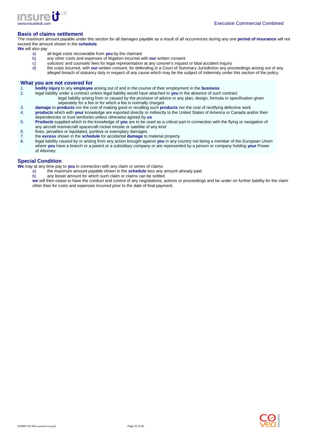

# **Basis of claims settlement**

The maximum amount payable under this section for all damages payable as a result of all occurrences during any one **period of insurance** will not exceed the amount shown in the **schedule**.

**We** will also pay

- a) all legal costs recoverable from **you** by the claimant
- b) any other costs and expenses of litigation incurred with **our** written consent
- c) solicitors' and counsels' fees for legal representation at any coroner's inquest or fatal accident inquiry
- d) the costs incurred, with **our** written consent, for defending in a Court of Summary Jurisdiction any proceedings arising out of any alleged breach of statutory duty in respect of any cause which may be the subject of indemnity under this section of the policy.

## **What you are not covered for**

- 1. **bodily injury** to any **employee** arising out of and in the course of their employment in the **business**
- 2. legal liability under a contract unless legal liability would have attached to **you** in the absence of such contract legal liability arising from or caused by the provision of advice or any plan, design, formula or specification given separately for a fee or for which a fee is normally charged
- 3. **damage** to **products** nor the cost of making good or recalling such **products** nor the cost of rectifying defective work
- products which with your knowledge are exported directly or indirectly to the United States of America or Canada and/or their dependencies or trust territories unless otherwise agreed by **us**
- 5. **Products** supplied which to the knowledge of **you** are to be used as a critical part in connection with the flying or navigation of any aircraft marinecraft spacecraft rocket missile or satellite of any kind
- 6. fines, penalties or liquidated, punitive or exemplary damages
- 7. the **excess** shown in the **schedule** for accidental **damage** to material property
- 8. legal liability caused by or arising from any action brought against **you** in any country not being a member of the European Union where **you** have a branch or a parent or a subsidiary company or are represented by a person or company holding **your** Power of Attorney

# **Special Condition**

**We** may at any time pay to **you** in connection with any claim or series of claims

- a) the maximum amount payable shown in the **schedule** less any amount already paid
- any lesser amount for which such claim or claims can be settled

**we** will then cease to have the conduct and control of any negotiations, actions or proceedings and be under no further liability for the claim other than for costs and expenses incurred prior to the date of final payment.

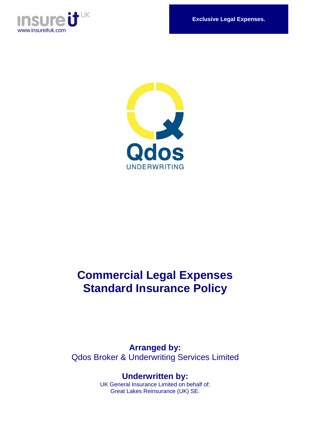

**Exclusive Legal Expenses.** 



# **Commercial Legal Expenses Standard Insurance Policy**

**Arranged by:**  Qdos Broker & Underwriting Services Limited

> **Underwritten by:**  UK General Insurance Limited on behalf of: Great Lakes Reinsurance (UK) SE.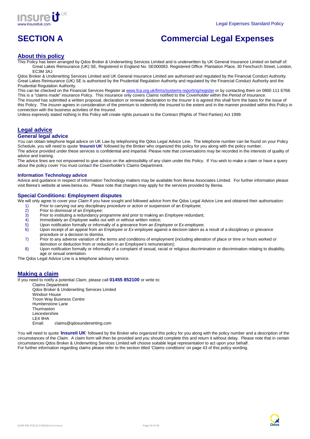

# **SECTION A Commercial Legal Expenses**

# **About this policy**

This Policy has been arranged by Qdos Broker & Underwriting Services Limited and is underwritten by UK General Insurance Limited on behalf of: Great Lakes Reinsurance (UK) SE, Registered in England No. SE000083. Registered Office: Plantation Place, 30 Fenchurch Street, London, EC3M 3AJ

Qdos Broker & Underwriting Services Limited and UK General Insurance Limited are authorised and regulated by the Financial Conduct Authority. Great Lakes Reinsurance (UK) SE is authorised by the Prudential Regulation Authority and regulated by the Financial Conduct Authority and the Prudential Regulation Authority.

This can be checked on the Financial Services Register at www.fca.org.uk/firms/systems-reporting/register or by contacting them on 0800 111 6768. This is a "claims made" insurance Policy. This insurance only covers Claims notified to the Coverholder within the Period of Insurance. The Insured has submitted a written proposal, declaration or renewal declaration to the Insurer it is agreed this shall form the basis for the issue of this Policy. The Insurer agrees in consideration of the premium to indemnify the Insured to the extent and in the manner provided within this Policy in connection with the business activities of the Insured.

Unless expressly stated nothing in this Policy will create rights pursuant to the Contract (Rights of Third Parties) Act 1999.

# **Legal advice**

#### **General legal advice**

You can obtain telephone legal advice on UK Law by telephoning the Qdos Legal Advice Line. The telephone number can be found on your Policy Schedule, you will need to quote '**Insureit UK**' followed by the Broker who organized this policy for you along with the policy number. The advice provided under these services is confidential and impartial. Please note that conversations may be recorded in the interests of quality of advice and training.

The advice lines are not empowered to give advice on the admissibility of any claim under this Policy. If You wish to make a claim or have a query about the policy cover You must contact the Coverholder's Claims Department.

#### **Information Technology advice**

Advice and guidance in respect of Information Technology matters may be available from Berea Associates Limited. For further information please visit Berea's website at www.berea.eu. Please note that charges may apply for the services provided by Berea.

# **Special Conditions: Employment disputes**

We will only agree to cover your Claim if you have sought and followed advice from the Qdos Legal Advice Line and obtained their authorisation:

- 1) Prior to carrying out any disciplinary procedure or action or suspension of an *Employee*;<br>2) Prior to dismissal of an *Employee*;
	- 2) Prior to dismissal of an *Employee*;<br>3) Prior to instituting a redundancy prior
	- 3) Prior to instituting a redundancy programme and prior to making an *Employee* redundant;<br>4) Immediately an *Employee* walks out with or without written notice;
	- Immediately an Employee walks out with or without written notice;
	- 5) Upon notification formally or informally of a grievance from an *Employee* or *Ex-employee*;
	- 6) Upon receipt of an appeal from an *Employee* or Ex-employee against a decision taken as a result of a disciplinary or grievance procedure or a decision to dismiss.
	- 7) Prior to any adverse variation of the terms and conditions of employment (including alteration of place or time or hours worked or demotion or deduction from or reduction in an Employee's remuneration);
	- 8) Upon notification formally or informally of a complaint of sexual, racial or religious discrimination or discrimination relating to disability, age or sexual orientation.

The Qdos Legal Advice Line is a telephone advisory service.

# **Making a claim**

If you need to notify a potential Claim, please call **01455 852100** or write to:

Claims Department Qdos Broker & Underwriting Services Limited Windsor House Troon Way Business Centre Humberstone Lane **Thurmaston** Leicestershire  $LEA$   $QHA$ Email: claims@qdosunderwriting.com

You will need to quote '*Insureit UK*' followed by the Broker who organized this policy for you along with the policy number and a description of the circumstances of the Claim. A claim form will then be provided and you should complete this and return it without delay. Please note that in certain circumstances Qdos Broker & Underwriting Services Limited will choose suitable legal representation to act upon your behalf. For further information regarding claims please refer to the section titled 'Claims conditions' on page 43 of this policy wording.

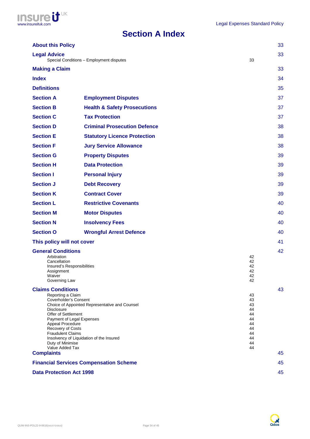

# **Section A Index**

| <b>About this Policy</b>                                                                                                                                                                                                       |                                                                                                                         |                                                                      | 33 |
|--------------------------------------------------------------------------------------------------------------------------------------------------------------------------------------------------------------------------------|-------------------------------------------------------------------------------------------------------------------------|----------------------------------------------------------------------|----|
| <b>Legal Advice</b>                                                                                                                                                                                                            | Special Conditions - Employment disputes                                                                                | 33                                                                   | 33 |
| <b>Making a Claim</b>                                                                                                                                                                                                          |                                                                                                                         |                                                                      | 33 |
| <b>Index</b>                                                                                                                                                                                                                   |                                                                                                                         |                                                                      | 34 |
| <b>Definitions</b>                                                                                                                                                                                                             |                                                                                                                         |                                                                      | 35 |
| <b>Section A</b>                                                                                                                                                                                                               | <b>Employment Disputes</b>                                                                                              |                                                                      | 37 |
| <b>Section B</b>                                                                                                                                                                                                               | <b>Health &amp; Safety Prosecutions</b>                                                                                 |                                                                      | 37 |
| <b>Section C</b>                                                                                                                                                                                                               | <b>Tax Protection</b>                                                                                                   |                                                                      | 37 |
| <b>Section D</b>                                                                                                                                                                                                               | <b>Criminal Prosecution Defence</b>                                                                                     |                                                                      | 38 |
| <b>Section E</b>                                                                                                                                                                                                               | <b>Statutory Licence Protection</b>                                                                                     |                                                                      | 38 |
| <b>Section F</b>                                                                                                                                                                                                               | <b>Jury Service Allowance</b>                                                                                           |                                                                      | 38 |
| <b>Section G</b>                                                                                                                                                                                                               | <b>Property Disputes</b>                                                                                                |                                                                      | 39 |
| <b>Section H</b>                                                                                                                                                                                                               | <b>Data Protection</b>                                                                                                  |                                                                      | 39 |
| <b>Section I</b>                                                                                                                                                                                                               | <b>Personal Injury</b>                                                                                                  |                                                                      | 39 |
| <b>Section J</b>                                                                                                                                                                                                               | <b>Debt Recovery</b>                                                                                                    |                                                                      | 39 |
| <b>Section K</b>                                                                                                                                                                                                               | <b>Contract Cover</b>                                                                                                   |                                                                      | 39 |
| <b>Section L</b>                                                                                                                                                                                                               | <b>Restrictive Covenants</b>                                                                                            |                                                                      | 40 |
| <b>Section M</b>                                                                                                                                                                                                               | <b>Motor Disputes</b>                                                                                                   |                                                                      | 40 |
| <b>Section N</b>                                                                                                                                                                                                               | <b>Insolvency Fees</b>                                                                                                  |                                                                      | 40 |
| <b>Section O</b>                                                                                                                                                                                                               | <b>Wrongful Arrest Defence</b>                                                                                          |                                                                      | 40 |
| This policy will not cover                                                                                                                                                                                                     |                                                                                                                         |                                                                      | 41 |
| <b>General Conditions</b><br>Arbitration<br>Cancellation<br>Insured's Responsibilities<br>Assignment<br>Waiver<br>Governing Law                                                                                                |                                                                                                                         | 42<br>42<br>42<br>42<br>42<br>42                                     | 42 |
| <b>Claims Conditions</b><br>Reporting a Claim<br>Coverholder's Consent<br><b>Disclosure</b><br>Offer of Settlement<br>Appeal Procedure<br>Recovery of Costs<br><b>Fraudulent Claims</b><br>Duty of Minimise<br>Value Added Tax | Choice of Appointed Representative and Counsel<br>Payment of Legal Expenses<br>Insolvency of Liquidation of the Insured | 43<br>43<br>43<br>44<br>44<br>44<br>44<br>44<br>44<br>44<br>44<br>44 |    |
| <b>Complaints</b>                                                                                                                                                                                                              |                                                                                                                         |                                                                      |    |
|                                                                                                                                                                                                                                | <b>Financial Services Compensation Scheme</b>                                                                           |                                                                      | 45 |
| <b>Data Protection Act 1998</b>                                                                                                                                                                                                |                                                                                                                         |                                                                      | 45 |

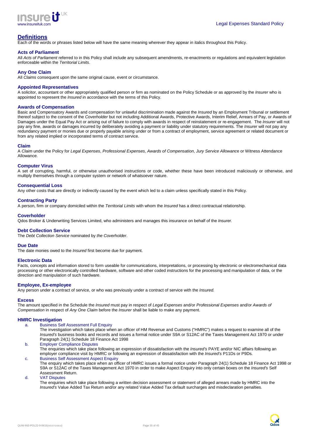

# **Definitions**

Each of the words or phrases listed below will have the same meaning wherever they appear in italics throughout this Policy.

#### **Acts of Parliament**

All Acts of Parliament referred to in this Policy shall include any subsequent amendments, re-enactments or regulations and equivalent legislation enforceable within the Territorial Limits.

#### **Any One Claim**

All Claims consequent upon the same original cause, event or circumstance.

#### **Appointed Representatives**

A solicitor, accountant or other appropriately qualified person or firm as nominated on the Policy Schedule or as approved by the Insurer who is appointed to represent the Insured in accordance with the terms of this Policy.

#### **Awards of Compensation**

Basic and Compensatory Awards and compensation for unlawful discrimination made against the Insured by an Employment Tribunal or settlement thereof subject to the consent of the Coverholder but not including Additional Awards, Protective Awards, Interim Relief, Arrears of Pay, or Awards of Damages under the Equal Pay Act or arising out of failure to comply with awards in respect of reinstatement or re-engagement. The *Insurer* will not pay any fine, awards or damages incurred by deliberately avoiding a payment or liability under statutory requirements. The Insurer will not pay any redundancy payment or monies due or properly payable arising under or from a contract of employment, service agreement or related document or from any related implied or incorporated terms of contract service.

#### **Claim**

A Claim under the Policy for Legal Expenses, Professional Expenses, Awards of Compensation, Jury Service Allowance or Witness Attendance Allowance.

#### **Computer Virus**

A set of corrupting, harmful, or otherwise unauthorised instructions or code, whether these have been introduced maliciously or otherwise, and multiply themselves through a computer system or network of whatsoever nature.

#### **Consequential Loss**

Any other costs that are directly or indirectly caused by the event which led to a claim unless specifically stated in this Policy.

#### **Contracting Party**

A person, firm or company domiciled within the Territorial Limits with whom the Insured has a direct contractual relationship.

#### **Coverholder**

Qdos Broker & Underwriting Services Limited, who administers and manages this insurance on behalf of the Insurer.

#### **Debt Collection Service**

The Debt Collection Service nominated by the Coverholder.

#### **Due Date**

The date monies owed to the Insured first become due for payment.

#### **Electronic Data**

Facts, concepts and information stored to form useable for communications, interpretations, or processing by electronic or electromechanical data processing or other electronically controlled hardware, software and other coded instructions for the processing and manipulation of data, or the direction and manipulation of such hardware.

#### **Employee, Ex-employee**

Any person under a contract of service, or who was previously under a contract of service with the Insured.

### **Excess**

The amount specified in the Schedule the Insured must pay in respect of Legal Expenses and/or Professional Expenses and/or Awards of Compensation in respect of Any One Claim before the Insurer shall be liable to make any payment.

#### **HMRC Investigation**

- a. Business Self Assessment Full Enquiry
	- The investigation which takes place when an officer of HM Revenue and Customs ("HMRC") makes a request to examine all of the Insured's business books and records and issues a formal notice under S9A or S12AC of the Taxes Management Act 1970 or under Paragraph 24(1) Schedule 18 Finance Act 1998
- b. Employer Compliance Disputes The enquiries which take place following an expression of dissatisfaction with the Insured's PAYE and/or NIC affairs following an employer compliance visit by HMRC or following an expression of dissatisfaction with the Insured's P11Ds or P9Ds.
- c. Business Self Assessment Aspect Enquiry The enquiry which takes place when an officer of HMRC issues a formal notice under Paragraph 24(1) Schedule 18 Finance Act 1998 or S9A or S12AC of the Taxes Management Act 1970 in order to make Aspect Enquiry into only certain boxes on the Insured's Self Assessment Return.

#### d. VAT Disputes

The enquiries which take place following a written decision assessment or statement of alleged arrears made by HMRC into the Insured's Value Added Tax Return and/or any related Value Added Tax default surcharges and misdeclaration penalties.

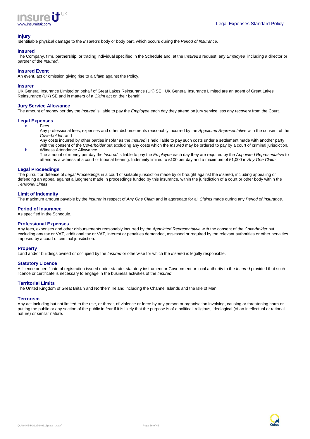

# **Injury**

Identifiable physical damage to the Insured's body or body part, which occurs during the Period of Insurance.

# **Insured**

The Company, firm, partnership, or trading individual specified in the Schedule and, at the Insured's request, any Employee including a director or partner of the Insured.

#### **Insured Event**

An event, act or omission giving rise to a *Claim* against the Policy.

#### **Insurer**

UK General Insurance Limited on behalf of Great Lakes Reinsurance (UK) SE. UK General Insurance Limited are an agent of Great Lakes Reinsurance (UK) SE and in matters of a Claim act on their behalf.

#### **Jury Service Allowance**

The amount of money per day the Insured is liable to pay the Employee each day they attend on jury service less any recovery from the Court.

#### **Legal Expenses**

a. Fees

Any professional fees, expenses and other disbursements reasonably incurred by the Appointed Representative with the consent of the Coverholder; and

Any costs incurred by other parties insofar as the *Insured* is held liable to pay such costs under a settlement made with another party with the consent of the Coverholder but excluding any costs which the Insured may be ordered to pay by a court of criminal jurisdiction. b. Witness Attendance Allowance

The amount of money per day the Insured is liable to pay the Employee each day they are required by the Appointed Representative to attend as a witness at a court or tribunal hearing. Indemnity limited to £100 per day and a maximum of £1,000 in Any One Claim.

#### **Legal Proceedings**

The pursuit or defence of Legal Proceedings in a court of suitable jurisdiction made by or brought against the Insured, including appealing or defending an appeal against a judgment made in proceedings funded by this insurance, within the jurisdiction of a court or other body within the Territorial Limits.

#### **Limit of Indemnity**

The maximum amount payable by the *Insurer* in respect of Any One Claim and in aggregate for all Claims made during any Period of Insurance.

#### **Period of Insurance**

As specified in the Schedule.

#### **Professional Expenses**

Any fees, expenses and other disbursements reasonably incurred by the Appointed Representative with the consent of the Coverholder but excluding any tax or VAT, additional tax or VAT, interest or penalties demanded, assessed or required by the relevant authorities or other penalties imposed by a court of criminal jurisdiction.

#### **Property**

Land and/or buildings owned or occupied by the Insured or otherwise for which the Insured is legally responsible.

#### **Statutory Licence**

A licence or certificate of registration issued under statute, statutory instrument or Government or local authority to the Insured provided that such licence or certificate is necessary to engage in the business activities of the Insured.

#### **Territorial Limits**

The United Kingdom of Great Britain and Northern Ireland including the Channel Islands and the Isle of Man.

#### **Terrorism**

Any act including but not limited to the use, or threat, of violence or force by any person or organisation involving, causing or threatening harm or putting the public or any section of the public in fear if it is likely that the purpose is of a political, religious, ideological (of an intellectual or rational nature) or similar nature.

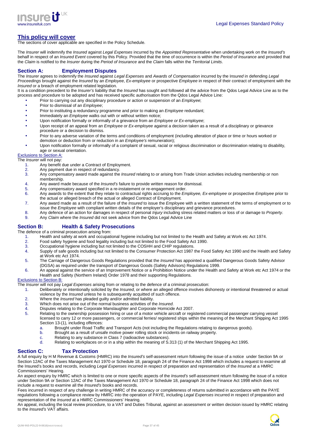

# **This policy will cover**

The sections of cover applicable are specified in the Policy Schedule.

The Insurer will indemnify the Insured against Legal Expenses incurred by the Appointed Representative when undertaking work on the Insured's behalf in respect of an *Insured Event* covered by this Policy. Provided that the time of occurrence is within the Period of Insurance and provided that the Claim is notified to the Insurer during the Period of Insurance and the Claim falls within the Territorial Limits.

# **Section A: Employment Disputes**

The Insurer agrees to indemnify the Insured against Legal Expenses and Awards of Compensation incurred by the Insured in defending Legal Proceedings brought against the Insured by an Employee, Ex-employee or prospective Employee in respect of their contract of employment with the Insured or a breach of employment related legislation.

It is a condition precedent to the *Insurer's* liability that the *Insured* has sought and followed all the advice from the Qdos Legal Advice Line as to the process and procedure to be adopted and has received specific authorisation from the Qdos Legal Advice Line:

- Prior to carrying out any disciplinary procedure or action or suspension of an *Employee*;
- Prior to dismissal of an *Employee*;
- Prior to instituting a redundancy programme and prior to making an *Employee* redundant;
- Immediately an *Employee* walks out with or without written notice;
- Upon notification formally or informally of a grievance from an Employee or Ex-employee;
- Upon receipt of an appeal from an *Employee* or Ex-employee against a decision taken as a result of a disciplinary or grievance procedure or a decision to dismiss.
- Prior to any adverse variation of the terms and conditions of employment (including alteration of place or time or hours worked or demotion or deduction from or reduction in an *Employee's* remuneration):
- Upon notification formally or informally of a complaint of sexual, racial or religious discrimination or discrimination relating to disability, age or sexual orientation.

# Exclusions to Section A:

The *Insurer* will not pay:

- 1. Any benefit due under a Contract of Employment.
- 2. Any payment due in respect of redundancy.<br>3. Any compensatory award made against the
- Any compensatory award made against the *Insured* relating to or arising from Trade Union activities including membership or non membership.
- 4. Any award made because of the Insured's failure to provide written reason for dismissal.
- 5. Any compensatory award specified in a re-instatement or re-engagement order.
- 6. Any awards to the extent that they relate to contractual rights accruing to the *Employee*, Ex-employee or prospective *Employee* prior to the actual or alleged breach of the actual or alleged Contract of Employment.
- 7. Any award made as a result of the failure of the *Insured* to issue the *Employee* with a written statement of the terms of employment or to issue the Employee with compliant written details of the employer's disciplinary and grievance procedures.
- 8. Any defence of an action for damages in respect of personal *Injury* including stress related matters or loss of or damage to Property.
- 9. Any Claim where the Insured did not seek advice from the Qdos Legal Advice Line

### **Section B: Health & Safety Prosecutions**

The defence of a criminal prosecution arising from:

- 1. Health and safety at work and occupational hygiene including but not limited to the Health and Safety at Work etc Act 1974.<br>2. Food safety hygiene and food legality including but not limited to the Food Safety Act 1990.
- 2. Food safety hygiene and food legality including but not limited to the Food Safety Act 1990.
- 3. Occupational hygiene including but not limited to the COSHH and CHIP regulations.
- 4. Supply of safe goods including but not limited to the Consumer Protection Act 1987 the Food Safety Act 1990 and the Health and Safety at Work etc Act 1974.
- 5. The Carriage of Dangerous Goods Regulations provided that the Insured has appointed a qualified Dangerous Goods Safety Advisor (DGSA) as required under the transport of Dangerous Goods (Safety Advisors) Regulations 1999.
- 6. An appeal against the service of an Improvement Notice or a Prohibition Notice under the Health and Safety at Work etc Act 1974 or the Health and Safety (Northern Ireland) Order 1978 and their supporting Regulations.

#### Exclusions to Section B:

- The Insurer will not pay Legal Expenses arising from or relating to the defence of a criminal prosecution:
	- 1. Deliberately or intentionally solicited by the Insured, or where an alleged offence involves dishonesty or intentional threatened or actual violence by the Insured unless he is subsequently acquitted of such offence.
	- 2. Where the *Insured* has pleaded guilty and/or admitted liability.
	-
	- 3. Which does not arise out of the normal business activities of the *Insured*.<br>4. Disputes relating to the Corporate Manslaughter and Corporate Homicide
	- 4. Disputes relating to the Corporate Manslaughter and Corporate Homicide Act 2007. Relating to the ownership possession hiring or use of a motor vehicle aircraft or registered commercial passenger carrying vessel licensed to carry 12 or more passengers, or commercial ferries/ registered ships within the meaning of the Merchant Shipping Act 1995 Section 13-(1), including offences:<br>a. Brought under Road Traffic
		- Brought under Road Traffic and Transport Acts (not including the Regulations relating to dangerous goods).
		- b. Brought as a result of unsafe motive power rolling stock or incidents on railway property.
		- c. Relating to any substance in Class 7 (radioactive substances).<br>
		Relating to workplaces on or in a ship within the meaning of S
		- Relating to workplaces on or in a ship within the meaning of S.313 (1) of the Merchant Shipping Act 1995.

# **Section C: Tax Protection**

A full enquiry by H M Revenue & Customs (HMRC) into the Insured's self-assessment return following the issue of a notice under Section 9A or Section 12AC of the Taxes Management Act 1970 or Schedule 18, paragraph 24 of the Finance Act 1998 which includes a request to examine all the Insured's books and records, including Legal Expenses incurred in respect of preparation and representation of the Insured at a HMRC Commissioners' Hearing.

An aspect enquiry by HMRC which is limited to one or more specific aspects of the Insured's self-assessment return following the issue of a notice under Section 9A or Section 12AC of the Taxes Management Act 1970 or Schedule 18, paragraph 24 of the Finance Act 1998 which does not include a request to examine all the Insured's books and records.

Fees incurred in respect of any challenge in writing HMRC of the accuracy or completeness of returns submitted in accordance with the PAYE regulations following a compliance review by HMRC into the operation of PAYE, including Legal Expenses incurred in respect of preparation and representation of the Insured at a HMRC Commissioners' Hearing.

An appeal, including the local review procedure, to a VAT and Duties Tribunal, against an assessment or written decision issued by HMRC relating to the Insured's VAT affairs.

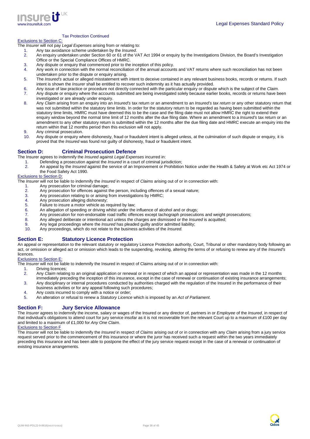

#### Tax Protection Continued

# Exclusions to Section C:

The Insurer will not pay Legal Expenses arising from or relating to:

- 1. Any tax avoidance scheme undertaken by the Insured.
	- 2. An enquiry undertaken under Section 60 or 61 of the VAT Act 1994 or enquiry by the Investigations Division, the Board's Investigation Office or the Special Compliance Offices of HMRC.
	- 3. Any dispute or enquiry that commenced prior to the inception of this policy.
	- 4. Any work in connection with the normal reconciliation of the annual accounts and VAT returns where such reconciliation has not been undertaken prior to the dispute or enquiry arising.
	- 5. The *Insured's* actual or alleged misstatement with intent to deceive contained in any relevant business books, records or returns. If such intent is shown the *Insurer* shall be entitled to recover such indemnity as it has actually provided.
	- 6. Any issue of law practice or procedure not directly connected with the particular enquiry or dispute which is the subject of the Claim.<br>7. Any dispute or enquiry where the accounts submitted are being investigated solel Any dispute or enquiry where the accounts submitted are being investigated solely because earlier books, records or returns have been
- investigated or are already under enquiry.
- 8. Any Claim arising from an enquiry into an Insured's tax return or an amendment to an Insured's tax return or any other statutory return that was not submitted within the statutory time limits. In order for the statutory return to be regarded as having been submitted within the statutory time limits, HMRC must have deemed this to be the case and the filing date must not allow HMRC the right to extend their enquiry window beyond the normal time limit of 12 months after the due filing date. Where an amendment to a *Insured's* tax return or an amendment to any other statutory return is submitted within the 12 months after the due filing date and HMRC execute an enquiry into the return within that 12 months period then this exclusion will not apply.
- 9. Any criminal prosecution.
- 10. Any dispute or enquiry where dishonesty, fraud or fraudulent intent is alleged unless, at the culmination of such dispute or enquiry, it is proved that the Insured was found not guilty of dishonesty, fraud or fraudulent intent.

# **Section D: Criminal Prosecution Defence**

The Insurer agrees to indemnify the Insured against Legal Expenses incurred in:

- 
- 1. Defending a prosecution against the *Insured* in a court of criminal jurisdiction;<br>2. An appeal by the *Insured* against the service of an Improvement or Prohibition An appeal by the Insured against the service of an Improvement or Prohibition Notice under the Health & Safety at Work etc Act 1974 or the Food Safety Act 1990.

#### Exclusions to Section D:

The *Insurer* will not be liable to indemnify the *Insured* in respect of *Claims* arising out of or in connection with:<br>1. Any prosecution for criminal damage:

- 1. Any prosecution for criminal damage;<br>2. Any prosecution for offences against t
- Any prosecution for offences against the person, including offences of a sexual nature;
- 3. Any prosecution relating to or arising from investigations by HMRC;
- 4. Any prosecution alleging dishonesty;<br>5. Failure to insure a motor vehicle as re-
- Failure to insure a motor vehicle as required by law;
- 6. An allegation of speeding or driving whilst under the influence of alcohol and or drugs;
- 7. Any prosecution for non-endorsable road traffic offences except tachograph prosecutions and weight prosecutions;<br>8. Any alleged deliberate or intentional act unless the charges are dismissed or the *Insured* is acquitte
- Any alleged deliberate or intentional act unless the charges are dismissed or the *Insured* is acquitted;
- 9. Any legal proceedings where the Insured has pleaded guilty and/or admitted liability;
- 10. Any proceedings, which do not relate to the business activities of the Insured.

### **Section E: Statutory Licence Protection**

An appeal or representation to the relevant statutory or regulatory Licence Protection authority, Court, Tribunal or other mandatory body following an act, or omission or alleged act or omission which leads to the suspending, revoking, altering the terms of or refusing to renew any of the Insured's licences.

#### Exclusions to Section E:

The Insurer will not be liable to indemnify the Insured in respect of Claims arising out of or in connection with:

- 
- 1. Driving licences;<br>2. Any Claim relatii Any Claim relating to an original application or renewal or in respect of which an appeal or representation was made in the 12 months immediately preceding the inception of this insurance, except in the case of renewal or continuation of existing insurance arrangements;
- 3. Any disciplinary or internal procedures conducted by authorities charged with the regulation of the Insured in the performance of their business activities or for any appeal following such procedures;
- 4. Any costs incurred to comply with a notice or order;
- 5. An alteration or refusal to renew a Statutory Licence which is imposed by an Act of Parliament.

### **Section F: Jury Service Allowance**

The Insurer agrees to indemnify the income, salary or wages of the Insured or any director of, partners in or Employee of the Insured, in respect of that individual's obligations to attend court for jury service insofar as it is not recoverable from the relevant Court up to a maximum of £100 per day and limited to a maximum of £1,000 for Any One Claim.

#### Exclusions to Section F

The Insurer will not be liable to indemnify the Insured in respect of Claims arising out of or in connection with any Claim arising from a jury service request served prior to the commencement of this insurance or where the juror has received such a request within the two years immediately preceding this insurance and has been able to postpone the effect of the jury service request except in the case of a renewal or continuation of existing insurance arrangements.

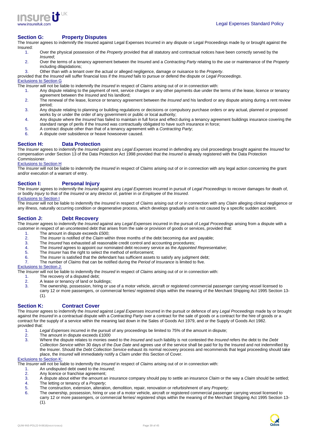

#### **Section G: Property Disputes**

The Insurer agrees to indemnify the Insured against Legal Expenses Incurred in any dispute or Legal Proceedings made by or brought against the Insured:

- 1. Over the physical possession of the Property provided that all statutory and contractual notices have been correctly served by the Insured;
- 2. Over the terms of a tenancy agreement between the Insured and a Contracting Party relating to the use or maintenance of the Property including dilapidations;
- 3. Other than with a tenant over the actual or alleged negligence, damage or nuisance to the Property.

provided that the *Insured* will suffer financial loss if the *Insured* fails to pursue or defend the dispute or Legal Proceedings.

# Exclusions to Section G

The Insurer will not be liable to indemnify the Insured in respect of Claims arising out of or in connection with:

- 1. Any dispute relating to the payment of rent, service charges or any other payments due under the terms of the lease, licence or tenancy agreement between the *Insured* and his landlord;
- 2. The renewal of the lease, licence or tenancy agreement between the *Insured* and his landlord or any dispute arising during a rent review period;
- 3. Any dispute relating to planning or building regulations or decisions or compulsory purchase orders or any actual, planned or proposed works by or under the order of any government or public or local authority;
- 4. Any dispute where the *Insured* has failed to maintain in full force and effect during a tenancy agreement buildings insurance covering the standard range of perils if the Insured was contractually obligated to have such insurance in force;
- 5. A contract dispute other than that of a tenancy agreement with a Contracting Party;
- 6. A dispute over subsidence or heave howsoever caused.

# **Section H: Data Protection**

The Insurer agrees to indemnify the Insured against any Legal Expenses incurred in defending any civil proceedings brought against the Insured for compensation under Section 13 of the Data Protection Act 1998 provided that the Insured is already registered with the Data Protection Commissioner.

#### Exclusions to Section H

The Insurer will not be liable to indemnify the Insured in respect of Claims arising out of or in connection with any legal action concerning the grant and/or execution of a warrant of entry.

### **Section I: Personal Injury**

The Insurer agrees to indemnify the Insured against any Legal Expenses incurred in pursuit of Legal Proceedings to recover damages for death of, or bodily Injury to that of the Insured or any director of, partner in or Employee of the Insured.

# Exclusions to Section I

The Insurer will not be liable to indemnify the Insured in respect of Claims arising out of or in connection with any Claim alleging clinical negligence or any illness, naturally occurring condition or degenerative process, which develops gradually and is not caused by a specific sudden accident.

### **Section J: Debt Recovery**

The Insurer agrees to indemnify the Insured against any Legal Expenses incurred in the pursuit of Legal Proceedings arising from a dispute with a customer in respect of an uncontested debt that arises from the sale or provision of goods or services, provided that:

- 1 The amount in dispute exceeds £500;
- 2. The *Insurer* is notified of the *Claim* within three months of the debt becoming due and payable;<br>3. The *Insured* has exhausted all reasonable credit control and accounting procedures;
- 3. The *Insured* has exhausted all reasonable credit control and accounting procedures;<br>4. The *Insured* agrees to appoint our nominated debt recovery service as the *Appointe*
- The *Insured* agrees to appoint our nominated debt recovery service as the Appointed Representative;
- 5. The Insurer has the right to select the method of enforcement;
- 6. The *Insurer* is satisfied that the defendant has sufficient assets to satisfy any judgment debt;<br>The number of *Claims* that can be notified during the *Period of Insurance* is limited to five
- The number of Claims that can be notified during the Period of Insurance is limited to five.

# Exclusions to Section J:

The Insurer will not be liable to indemnify the Insured in respect of Claims arising out of or in connection with:

- 1. The recovery of a disputed debt;
- 2. A lease or tenancy of land or buildings;
- 3. The ownership, possession, hiring or use of a motor vehicle, aircraft or registered commercial passenger carrying vessel licensed to carry 12 or more passengers, or commercial ferries/ registered ships within the meaning of the Merchant Shipping Act 1995 Section 13- (1).

# **Section K: Contract Cover**

The Insurer agrees to indemnify the Insured against Legal Expenses incurred in the pursuit or defence of any Legal Proceedings made by or brought against the Insured in a contractual dispute with a Contracting Party over a contract for the sale of goods or a contract for the hire of goods or a contract for the supply of a service within the meaning laid down in the Sales of Goods Act 1979, and or the Supply of Goods Act 1982. provided that:

- 1. Legal Expenses incurred in the pursuit of any proceedings be limited to 75% of the amount in dispute;
- 2. The amount in dispute exceeds  $\angle$  £1000<br>3. Where the dispute relates to monies ov
- Where the dispute relates to monies owed to the Insured and such liability is not contested the Insured refers the debt to the Debt Collection Service within 30 days of the Due Date and agrees use of the service shall be paid for by the Insured and not indemnified by the Insurer. Should the Debt Collection Service exhaust its normal recovery process and recommends that legal proceeding should take place, the Insured will immediately notify a Claim under this Section of Cover.

# Exclusions to Section K:

The *Insurer* will not be liable to indemnify the *Insured* in respect of *Claims* arising out of or in connection with:

- 1. An undisputed debt owed to the *Insured*;<br>2. Any licence or franchise agreement:
- Any licence or franchise agreement:
- 3. A dispute about either the amount an insurance company should pay to settle an insurance Claim or the way a Claim should be settled;
- 4. The letting or tenancy of a *Property*;<br>5. The construction, extension, alteration 5. The construction, extension, alteration, demolition, repair, renovation or refurbishment of any *Property*;<br>6. The ownership, possession, biring or use of a motor vehicle, aircraft or registered commercial passenger
- 6. The ownership, possession, hiring or use of a motor vehicle, aircraft or registered commercial passenger carrying vessel licensed to carry 12 or more passengers, or commercial ferries/ registered ships within the meaning of the Merchant Shipping Act 1995 Section 13-  $(1)$ .

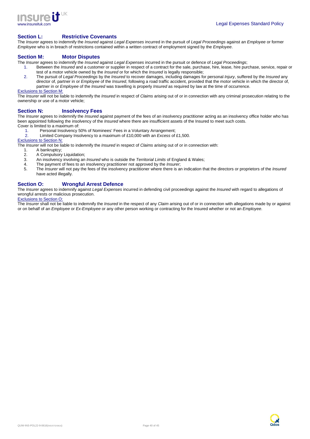

### **Section L: Restrictive Covenants**

The Insurer agrees to indemnify the Insured against Legal Expenses incurred in the pursuit of Legal Proceedings against an Employee or former Employee who is in breach of restrictions contained within a written contract of employment signed by the Employee.

#### **Section M: Motor Disputes**

The Insurer agrees to indemnify the Insured against Legal Expenses incurred in the pursuit or defence of Legal Proceedings;

- 1. Between the *Insured* and a customer or supplier in respect of a contract for the sale, purchase, hire, lease, hire purchase, service, repair or test of a motor vehicle owned by the *Insured* or for which the *Insured* is legally responsible;
- 2. The pursuit of Legal Proceedings by the Insured to recover damages, including damages for personal Injury, suffered by the Insured any director of, partner in or Employee of the Insured, following a road traffic accident, provided that the motor vehicle in which the director of, partner in or Employee of the Insured was travelling is properly Insured as required by law at the time of occurrence. Exclusions to Section M:

The Insurer will not be liable to indemnify the Insured in respect of Claims arising out of or in connection with any criminal prosecution relating to the ownership or use of a motor vehicle;

### **Section N: Insolvency Fees**

The Insurer agrees to indemnify the Insured against payment of the fees of an insolvency practitioner acting as an insolvency office holder who has been appointed following the insolvency of the Insured where there are insufficient assets of the Insured to meet such costs. Cover is limited to a maximum of:

1. Personal Insolvency 50% of Nominees' Fees in a Voluntary Arrangement;

2. Limited Company Insolvency to a maximum of £10,000 with an *Excess* of £1,500.

#### Exclusions to Section N:

The *Insurer* will not be liable to indemnify the *Insured* in respect of *Claims* arising out of or in connection with:

- 1. A bankruptcy;
- 2. A Compulsory Liquidation;<br>3. An insolvency involving an
- 3. An insolvency involving an *Insured* who is outside the *Territorial Limits* of England & Wales;<br>4. The payment of fees to an insolvency practitioner not approved by the *Insurer*.
- 4. The payment of fees to an insolvency practitioner not approved by the *Insurer*;<br>5. The *Insurer will not pay the fees of the insolvency practitioner where there is a*
- The Insurer will not pay the fees of the insolvency practitioner where there is an indication that the directors or proprietors of the Insured have acted illegally.

# **Section O: Wrongful Arrest Defence**

The Insurer agrees to indemnify against Legal Expenses incurred in defending civil proceedings against the Insured with regard to allegations of wrongful arrests or malicious prosecution. Exclusions to Section O:

The Insurer shall not be liable to indemnify the Insured in the respect of any Claim arising out of or in connection with allegations made by or against or on behalf of an Employee or Ex-Employee or any other person working or contracting for the Insured whether or not an Employee.

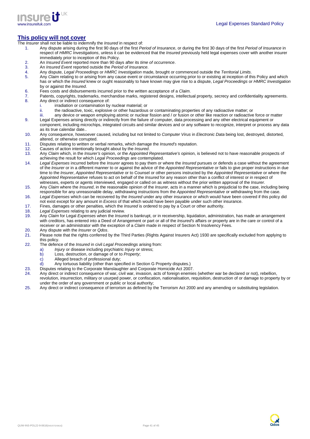

# **This policy will not cover**

- The *Insurer* shall not be liable to indemnify the *Insured* in respect of:
	- 1. Any dispute arising during the first 90 days of the first Period of Insurance, or during the first 30 days of the first Period of Insurance in respect of HMRC Investigations, unless it can be evidenced that the Insured previously held legal expenses cover with another insurer immediately prior to inception of this Policy.
	- 2. An Insured Event reported more than 90 days after its time of occurrence.<br>3. An Insured Event reported outside the Period of Insurance.
	- 3. An *Insured Event* reported outside the *Period of Insurance*.<br>4. Any dispute, Legal Proceedings or HMRC Investigation ma
	- 4. Any dispute, Legal Proceedings or HMRC Investigation made, brought or commenced outside the Territorial Limits.<br>4. Any Claim relating to or arising from any cause event or circumstance occurring prior to or existing at
	- Any Claim relating to or arising from any cause event or circumstance occurring prior to or existing at inception of this Policy and which has or which the Insured knew or ought reasonably to have known may give rise to a dispute, Legal Proceedings or HMRC Investigation by or against the *Insured*.
	- 6. Fees costs and disbursements incurred prior to the written acceptance of a Claim.<br>
	2. Patents, conveights, trademarks, merchandise marks, registered designs, intellectu
	- 7. Patents, copyrights, trademarks, merchandise marks, registered designs, intellectual property, secrecy and confidentiality agreements. 8. Any direct or indirect consequence of:
		- irradiation or contamination by nuclear material; or
		- ii. the radioactive, toxic, explosive or other hazardous or contaminating properties of any radioactive matter; or
		- iii. any device or weapon employing atomic or nuclear fission and / or fusion or other like reaction or radioactive force or matter
	- 9. Legal Expenses arising directly or indirectly from the failure of computer, data processing and any other electrical equipment or component, including microchips, integrated circuits and similar devices and or any software to recognize, interpret or process any data as its true calendar date..
	- 10. Any consequence, howsoever caused, including but not limited to Computer Virus in Electronic Data being lost, destroyed, distorted, altered, or otherwise corrupted.
	- 11. Disputes relating to written or verbal remarks, which damage the Insured's reputation.
	- 12. Causes of action intentionally brought about by the *Insured*.
	- 13. Any Claim which, in the Insurer's opinion, or the Appointed Representative's opinion, is believed not to have reasonable prospects of achieving the result for which Legal Proceedings are contemplated.
	- 14. Legal Expenses incurred before the Insurer agrees to pay them or where the Insured pursues or defends a case without the agreement of the Insurer or in a different manner to or against the advice of the Appointed Representative or fails to give proper instructions in due time to the Insurer, Appointed Representative or to Counsel or other persons instructed by the Appointed Representative or where the Appointed Representative refuses to act on behalf of the Insured for any reason other than a conflict of interest or in respect of witnesses, experts or agents interviewed, engaged or called on as witness without the prior written approval of the *Insurer*.
	- 15. Any Claim where the Insured, in the reasonable opinion of the Insurer, acts in a manner which is prejudicial to the case, including being responsible for any unreasonable delay, withdrawing instructions from the Appointed Representative or withdrawing from the case.
	- 16. Legal Expenses which can be recovered by the Insured under any other insurance or which would have been covered if this policy did not exist except for any amount in Excess of that which would have been payable under such other insurance.
	- 17. Fines, damages or other penalties, which the Insured is ordered to pay by a Court or other authority.
	- 18. Legal Expenses relating to any judicial review.
	- 19. Any Claim for Legal Expenses when the Insured is bankrupt, or in receivership, liquidation, administration, has made an arrangement with creditors, has entered into a Deed of Arrangement or part or all of the Insured's affairs or property are in the care or control of a receiver or an administrator with the exception of a Claim made in respect of Section N Insolvency Fees.
	- 20. Any dispute with the *Insurer* or Qdos.
	- 21. Please note that the rights conferred by the Third Parties (Rights Against Insurers Act) 1930 are specifically excluded from applying to this policy.
	- 22. The defence of the *Insured* in civil Legal Proceedings arising from:
		- a) Injury or disease including psychiatric Injury or stress;<br>b) I oss, destruction, or damage of or to Property
		- b) Loss, destruction, or damage of or to *Property*;<br>c) Alleged breach of professional duty:
		- Alleged breach of professional duty;
		- d) Any tortuous liability (other than specified in Section G Property disputes.)
	- 23. Disputes relating to the Corporate Manslaughter and Corporate Homicide Act 2007.<br>24. Any direct or indirect consequence of war, civil war, invasion, acts of foreign enemies
	- 24. Any direct or indirect consequence of war, civil war, invasion, acts of foreign enemies (whether war be declared or not), rebellion, revolution, insurrection, military or usurped power, or confiscation, nationalisation, requisition, destruction of or damage to property by or under the order of any government or public or local authority;
	- 25. Any direct or indirect consequence of terrorism as defined by the Terrorism Act 2000 and any amending or substituting legislation.

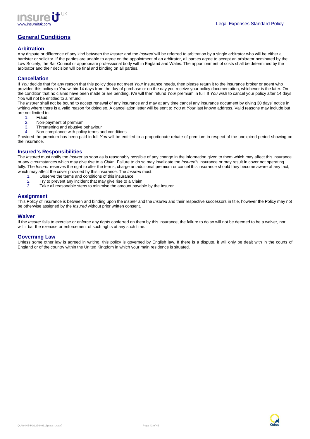

# **General Conditions**

## **Arbitration**

Any dispute or difference of any kind between the Insurer and the Insured will be referred to arbitration by a single arbitrator who will be either a barrister or solicitor. If the parties are unable to agree on the appointment of an arbitrator, all parties agree to accept an arbitrator nominated by the Law Society, the Bar Council or appropriate professional body within England and Wales. The apportionment of costs shall be determined by the arbitrator and their decision will be final and binding on all parties.

# **Cancellation**

If You decide that for any reason that this policy does not meet Your insurance needs, then please return it to the insurance broker or agent who provided this policy to You within 14 days from the day of purchase or on the day you receive your policy documentation, whichever is the later. On the condition that no claims have been made or are pending, We will then refund Your premium in full. If You wish to cancel your policy after 14 days You will not be entitled to a refund.

The Insurer shall not be bound to accept renewal of any insurance and may at any time cancel any insurance document by giving 30 days' notice in writing where there is a valid reason for doing so. A cancellation letter will be sent to You at Your last known address. Valid reasons may include but are not limited to:

- 1. Fraud
- 2. Non-payment of premium
- 3. Threatening and abusive behaviour<br>4. Non-compliance with policy terms a
	- Non-compliance with policy terms and conditions

Provided the premium has been paid in full You will be entitled to a proportionate rebate of premium in respect of the unexpired period showing on the insurance.

# **Insured's Responsibilities**

The Insured must notify the Insurer as soon as is reasonably possible of any change in the information given to them which may affect this insurance or any circumstances which may give rise to a Claim. Failure to do so may invalidate the Insured's insurance or may result in cover not operating fully. The Insurer reserves the right to alter the terms, charge an additional premium or cancel this insurance should they become aware of any fact, which may affect the cover provided by this insurance. The *Insured* must:

- 1. Observe the terms and conditions of this insurance.
- 
- 2. Try to prevent any incident that may give rise to a Claim.<br>3. Take all reasonable steps to minimise the amount payab Take all reasonable steps to minimise the amount payable by the Insurer.

#### **Assignment**

This Policy of insurance is between and binding upon the Insurer and the Insured and their respective successors in title, however the Policy may not be otherwise assigned by the Insured without prior written consent.

#### **Waiver**

If the Insurer fails to exercise or enforce any rights conferred on them by this insurance, the failure to do so will not be deemed to be a waiver, nor will it bar the exercise or enforcement of such rights at any such time.

#### **Governing Law**

Unless some other law is agreed in writing, this policy is governed by English law. If there is a dispute, it will only be dealt with in the courts of England or of the country within the United Kingdom in which your main residence is situated.



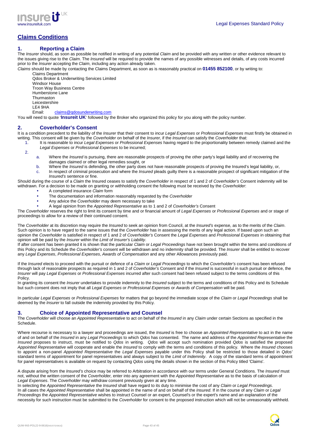

# **Claims Conditions**

# **1. Reporting a Claim**

The Insurer should, as soon as possible be notified in writing of any potential Claim and be provided with any written or other evidence relevant to the issues giving rise to the Claim. The Insured will be required to provide the names of any possible witnesses and details, of any costs incurred prior to the *Insurer* accepting the *Claim*, including any action already taken.

Claims should be made by contacting the Claims Department, as soon as is reasonably practical on **01455 852100**, or by writing to:

Claims Department Qdos Broker & Underwriting Services Limited Windsor House Troon Way Business Centre Humberstone Lane **Thurmaston** Leicestershire LE4 9HA Email: claims@qdosunderwriting.com

You will need to quote '**Insureit UK**' followed by the Broker who organized this policy for you along with the policy number.

#### **2. Coverholder's Consent**

It is a condition precedent to the liability of the Insurer that their consent to incur Legal Expenses or Professional Expenses must firstly be obtained in writing. This consent will be given by the Coverholder on behalf of the Insurer, if the Insured can satisfy the Coverholder that:

1. It is reasonable to incur Legal Expenses or Professional Expenses having regard to the proportionality between remedy claimed and the Legal Expenses or Professional Expenses to be incurred;

- 2.
- a. Where the Insured is pursuing, there are reasonable prospects of proving the other party's legal liability and of recovering the damages claimed or other legal remedies sought, or
- b. Where the *Insured* is defending, the other party does not have reasonable prospects of proving the Insured's legal liability, or,
- c. In respect of criminal prosecution and where the Insured pleads guilty there is a reasonable prospect of significant mitigation of the Insured's sentence or fine.

Should during the course of a Claim the Insured ceases to satisfy the Coverholder in respect of 1 and 2 of Coverholder's Consent indemnity will be withdrawn. For a decision to be made on granting or withholding consent the following must be received by the Coverholder.

- A completed insurance Claim form
- The documentation and information reasonably requested by the Coverholder
- Any advice the Coverholder may deem necessary to take
- A legal opinion from the Appointed Representative as to 1 and 2 of Coverholder's Consent

The Coverholder reserves the right to limit its consent by time and or financial amount of Legal Expenses or Professional Expenses and or stage of proceedings to allow for a review of their continued consent.

The Coverholder at its discretion may require the Insured to seek an opinion from Council, at the Insured's expense, as to the merits of the Claim. Such opinion is to have regard to the same issues that the Coverholder has in assessing the merits of any legal action. If based upon such an opinion the Coverholder is satisfied in respect of 1 and 2 of Coverholder's Consent the Legal Expenses and Professional Expenses in obtaining that opinion will be paid by the Insurer within the Limit of Insurer's Liability.

If after consent has been granted it is shown that the particular Claim or Legal Proceedings have not been brought within the terms and conditions of this Policy and its Schedule the Coverholder's consent will be withdrawn and no indemnity shall be provided. The Insurer shall be entitled to recover any Legal Expenses, Professional Expenses, Awards of Compensation and any other Allowances previously paid.

If the Insured elects to proceed with the pursuit or defence of a Claim or Legal Proceedings to which the Coverholder's consent has been refused through lack of reasonable prospects as required in 1 and 2 of Coverholder's Consent and if the Insured is successful in such pursuit or defence, the Insurer will pay Legal Expenses or Professional Expenses incurred after such consent had been refused subject to the terms conditions of this Policy.

In granting its consent the Insurer undertakes to provide indemnity to the Insured subject to the terms and conditions of this Policy and its Schedule but such consent does not imply that all Legal Expenses or Professional Expenses or Awards of Compensation will be paid.

In particular Legal Expenses or Professional Expenses for matters that go beyond the immediate scope of the Claim or Legal Proceedings shall be deemed by the *Insurer* to fall outside the indemnity provided by this Policy.

### **3. Choice of Appointed Representative and Counsel**

The Coverholder will choose an Appointed Representative to act on behalf of the Insured in any Claim under certain Sections as specified in the Schedule.

Where recourse is necessary to a lawyer and proceedings are issued, the Insured is free to choose an Appointed Representative to act in the name of and on behalf of the Insured in any Legal Proceedings to which Qdos has consented. The name and address of the Appointed Representative the Insured proposes to instruct, must be notified to Qdos in writing. Qdos will accept such nomination provided Qdos is satisfied the proposed Appointed Representative will cooperate and enable the Insured to comply with the terms and conditions of this policy. Where the Insured chooses to appoint a non-panel Appointed Representative the Legal Expenses payable under this Policy shall be restricted to those detailed in Qdos' standard terms of appointment for panel representatives and always subject to the Limit of Indemnity. A copy of the standard terms of appointment for panel representatives is available on request by contacting Qdos using the details shown in the section of this Policy titled 'Claims'.

A dispute arising from the Insured's choice may be referred to Arbitration in accordance with our terms under General Conditions. The Insured must not, without the written consent of the Coverholder, enter into any agreement with the Appointed Representative as to the basis of calculation of Legal Expenses. The Coverholder may withdraw consent previously given at any time.

In selecting the Appointed Representative the Insured shall have regard to its duty to minimise the cost of any Claim or Legal Proceedings. In all cases the Appointed Representative shall be appointed in the name of and on behalf of the Insured. If in the course of any Claim or Legal Proceedings the Appointed Representative wishes to instruct Counsel or an expert, Counsel's or the expert's name and an explanation of the necessity for such instruction must be submitted to the Coverholder for consent to the proposed instruction which will not be unreasonably withheld.

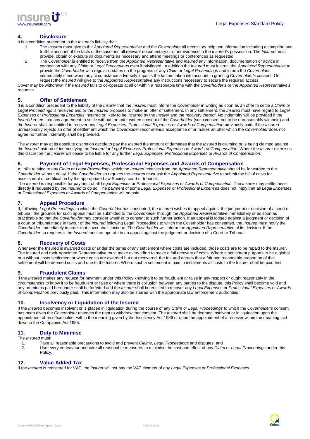

### **4. Disclosure**

- It is a condition precedent to the Insurer's liability that:
	- 1. The *Insured* must give to the *Appointed Representative* and the *Coverholder* all necessary help and information including a complete and truthful account of the facts of the case and all relevant documentary or other evidence in the Insured's possession. The Insured must provide, obtain or execute all documents as necessary and attend meetings or conferences as requested.
	- 2. The Coverholder is entitled to receive from the Appointed Representative and Insured any information, documentation or advice in connection with any Claim or Legal Proceedings even if privileged. In addition the Insured must instruct the Appointed Representative to provide the Coverholder with regular updates on the progress of any Claim or Legal Proceedings and inform the Coverholder immediately if and when any circumstance adversely impacts the factors taken into account in granting Coverholder's consent. On request the Insured will give to the Appointed Representative any instructions necessary to secure the required access.

Cover may be withdrawn if the Insured fails to co-operate at all or within a reasonable time with the Coverholder's or the Appointed Representative's requests.

# **5. Offer of Settlement**

It is a condition precedent to the liability of the *Insurer* that the *Insured* must inform the *Coverholder* in writing as soon as an offer to settle a *Claim* or Legal Proceedings is received and or the Insured proposes to make an offer of settlement. In any settlement, the Insured must have regard to Legal Expenses or Professional Expenses incurred or likely to be incurred by the Insurer and the recovery thereof. No indemnity will be provided if the Insured enters into any agreement to settle without the prior written consent of the Coverholder (such consent not to be unreasonably withheld) and the Insurer shall be entitled to recover any Legal Expenses, Professional Expenses or Awards of Compensation previously paid. If the Insured unreasonably rejects an offer of settlement which the Coverholder recommends acceptance of or makes an offer which the Coverholder does not agree no further indemnity shall be provided.

The Insurer may at its absolute discretion decide to pay the Insured the amount of damages that the Insured is claiming or is being claimed against the Insured instead of indemnifying the Insured for Legal Expenses Professional Expenses or Awards of Compensation. Where the Insurer exercises this discretion the Insurer will cease to be liable for any further Legal Expenses, Professional Expenses or Awards of Compensation.

### **6. Payment of Legal Expenses, Professional Expenses and Awards of Compensation**

All bills relating to any Claim or Legal Proceedings which the Insured receives from the Appointed Representative should be forwarded to the Coverholder without delay. If the Coverholder so requires the Insured must ask the Appointed Representative to submit the bill of costs for assessment or certification by the appropriate Law Society, court or tribunal.

The Insured is responsible for payment of all Legal Expenses or Professional Expenses or Awards of Compensation. The Insurer may settle these directly if requested by the Insured to do so. The payment of some Legal Expenses or Professional Expenses does not imply that all Legal Expenses or Professional Expenses or Awards of Compensation will be paid.

# **7. Appeal Procedure**

If, following Legal Proceedings to which the Coverholder has consented, the Insured wishes to appeal against the judgment or decision of a court or tribunal, the grounds for such appeal must be submitted to the Coverholder through the Appointed Representative immediately or as soon as practicable so that the Coverholder may consider whether to consent to such further action. If an appeal is lodged against a judgment or decision of a court or tribunal made in favour of the Insured following Legal Proceedings to which the Coverholder has consented, the Insured must notify the Coverholder immediately in order that cover shall continue. The Coverholder will inform the Appointed Representative of its decision. If the Coverholder so requires it the *Insured* must co-operate in an appeal against the judgment or decision of a Court or Tribunal.

# **8. Recovery of Costs**

Whenever the Insured is awarded costs or under the terms of any settlement where costs are included, those costs are to be repaid to the Insurer. The Insured and their Appointed Representative must make every effort to make a full recovery of costs. Where a settlement purports to be a global or a without costs settlement or where costs are awarded but not recovered, the Insured agrees that a fair and reasonable proportion of that settlement will be deemed costs and due to the Insurer. Where such a settlement is paid in instalments all costs to the Insurer shall be paid first.

### **9. Fraudulent Claims**

If the Insured makes any request for payment under this Policy knowing it to be fraudulent or false in any respect or ought reasonably in the circumstances to know it to be fraudulent or false or where there is collusion between any parties to the dispute, this Policy shall become void and any premiums paid hereunder shall be forfeited and the Insurer shall be entitled to recover any Legal Expenses or Professional Expenses or Awards of Compensation previously paid. This information may also be shared with the appropriate law enforcement authorities.

### **10. Insolvency or Liquidation of the Insured**

If the Insured becomes insolvent or is placed in liquidation during the course of any Claim or Legal Proceedings to which the Coverholder's consent has been given the Coverholder reserves the right to withdraw that consent. The *Insured* shall be deemed insolvent or in liquidation upon the appointment of an office holder within the meaning given by the Insolvency Act 1986 or upon the appointment of a receiver within the meaning laid down in the Companies Act 1985.

# **11. Duty to Minimise**

The Insured must:

- 1. Take all reasonable precautions to avoid and prevent Claims, Legal Proceedings and disputes, and
- 2. Use every endeavour and take all reasonable measures to minimise the cost and effect of any Claim or Legal Proceedings under this Policy.

# **12. Value Added Tax**

If the Insured is registered for VAT, the Insurer will not pay the VAT element of any Legal Expenses or Professional Expenses.